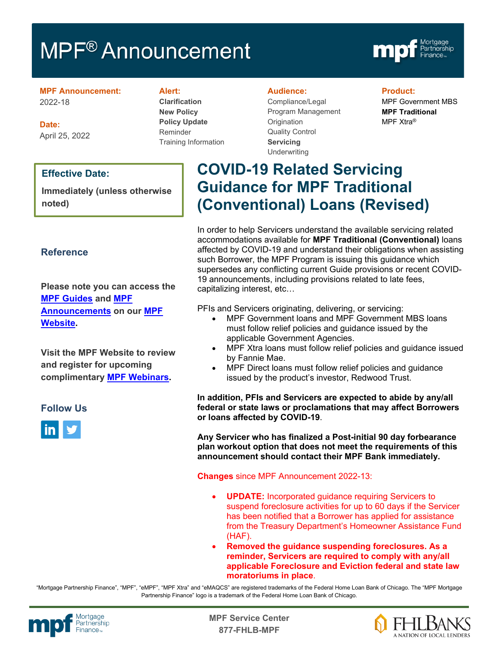# MPF<sup>®</sup> Announcement



**MPF Announcement:** 2022-18

**Date:** April 25, 2022

# **Effective Date:**

**Immediately (unless otherwise noted)**

# **Reference**

**Please note you can access the [MPF Guides](https://fhlbmpf.com/mpf-guides/guides) and [MPF](https://fhlbmpf.com/mpf-guides/announcements)  [Announcements](https://fhlbmpf.com/mpf-guides/announcements) on our [MPF](https://fhlbmpf.com/)  [Website.](https://fhlbmpf.com/)** 

**Visit the MPF Website to review and register for upcoming complimentary [MPF Webinars.](https://www.fhlbmpf.com/education/upcoming-webinars)**

# **Follow Us**



# **Alert:**

**Clarification New Policy Policy Update** Reminder Training Information

#### **Audience:**

Compliance/Legal Program Management **Origination** Quality Control **Servicing Underwriting** 

**Product:**

MPF Government MBS **MPF Traditional** MPF Xtra®

# **COVID-19 Related Servicing Guidance for MPF Traditional (Conventional) Loans (Revised)**

In order to help Servicers understand the available servicing related accommodations available for **MPF Traditional (Conventional)** loans affected by COVID-19 and understand their obligations when assisting such Borrower, the MPF Program is issuing this guidance which supersedes any conflicting current Guide provisions or recent COVID-19 announcements, including provisions related to late fees, capitalizing interest, etc…

PFIs and Servicers originating, delivering, or servicing:

- MPF Government loans and MPF Government MBS loans must follow relief policies and guidance issued by the applicable Government Agencies.
- MPF Xtra loans must follow relief policies and guidance issued by Fannie Mae.
- MPF Direct loans must follow relief policies and guidance issued by the product's investor, Redwood Trust.

**In addition, PFIs and Servicers are expected to abide by any/all federal or state laws or proclamations that may affect Borrowers or loans affected by COVID-19**.

**Any Servicer who has finalized a Post-initial 90 day forbearance plan workout option that does not meet the requirements of this announcement should contact their MPF Bank immediately.**

**Changes** since MPF Announcement 2022-13:

- **UPDATE:** Incorporated guidance requiring Servicers to suspend foreclosure activities for up to 60 days if the Servicer has been notified that a Borrower has applied for assistance from the Treasury Department's Homeowner Assistance Fund (HAF).
- **Removed the guidance suspending foreclosures. As a reminder, Servicers are required to comply with any/all applicable Foreclosure and Eviction federal and state law moratoriums in place**.

"Mortgage Partnership Finance", "MPF", "eMPF", "MPF Xtra" and "eMAQCS" are registered trademarks of the Federal Home Loan Bank of Chicago. The "MPF Mortgage Partnership Finance" logo is a trademark of the Federal Home Loan Bank of Chicago.



Mortgage **Canadian Communist Communist Center**<br>Partnership **877-FHLB-MPF**

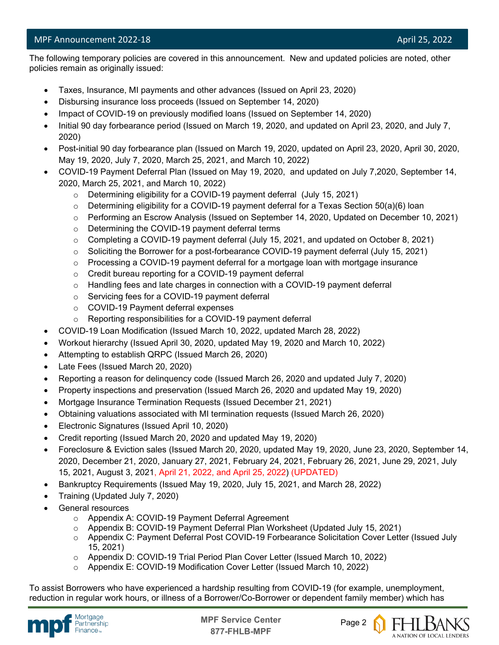l The following temporary policies are covered in this announcement. New and updated policies are noted, other policies remain as originally issued:

- Taxes, Insurance, MI payments and other advances (Issued on April 23, 2020)
- Disbursing insurance loss proceeds (Issued on September 14, 2020)
- Impact of COVID-19 on previously modified loans (Issued on September 14, 2020)
- Initial 90 day forbearance period (Issued on March 19, 2020, and updated on April 23, 2020, and July 7, 2020)
- Post-initial 90 day forbearance plan (Issued on March 19, 2020, updated on April 23, 2020, April 30, 2020, May 19, 2020, July 7, 2020, March 25, 2021, and March 10, 2022)
- COVID-19 Payment Deferral Plan (Issued on May 19, 2020, and updated on July 7,2020, September 14, 2020, March 25, 2021, and March 10, 2022)
	- o Determining eligibility for a COVID-19 payment deferral (July 15, 2021)
	- o Determining eligibility for a COVID-19 payment deferral for a Texas Section 50(a)(6) loan
	- o Performing an Escrow Analysis (Issued on September 14, 2020, Updated on December 10, 2021)
	- o Determining the COVID-19 payment deferral terms
	- $\circ$  Completing a COVID-19 payment deferral (July 15, 2021, and updated on October 8, 2021)
	- o Soliciting the Borrower for a post-forbearance COVID-19 payment deferral (July 15, 2021)
	- $\circ$  Processing a COVID-19 payment deferral for a mortgage loan with mortgage insurance
	- o Credit bureau reporting for a COVID-19 payment deferral
	- $\circ$  Handling fees and late charges in connection with a COVID-19 payment deferral
	- o Servicing fees for a COVID-19 payment deferral
	- o COVID-19 Payment deferral expenses
	- o Reporting responsibilities for a COVID-19 payment deferral
- COVID-19 Loan Modification (Issued March 10, 2022, updated March 28, 2022)
- Workout hierarchy (Issued April 30, 2020, updated May 19, 2020 and March 10, 2022)
- Attempting to establish QRPC (Issued March 26, 2020)
- Late Fees (Issued March 20, 2020)
- Reporting a reason for delinquency code (Issued March 26, 2020 and updated July 7, 2020)
- Property inspections and preservation (Issued March 26, 2020 and updated May 19, 2020)
- Mortgage Insurance Termination Requests (Issued December 21, 2021)
- Obtaining valuations associated with MI termination requests (Issued March 26, 2020)
- Electronic Signatures (Issued April 10, 2020)
- Credit reporting (Issued March 20, 2020 and updated May 19, 2020)
- Foreclosure & Eviction sales (Issued March 20, 2020, updated May 19, 2020, June 23, 2020, September 14, 2020, December 21, 2020, January 27, 2021, February 24, 2021, February 26, 2021, June 29, 2021, July 15, 2021, August 3, 2021, April 21, 2022, and April 25, 2022) (UPDATED)
- Bankruptcy Requirements (Issued May 19, 2020, July 15, 2021, and March 28, 2022)
- Training (Updated July 7, 2020)
- General resources
	- o Appendix A: COVID-19 Payment Deferral Agreement
	- o Appendix B: COVID-19 Payment Deferral Plan Worksheet (Updated July 15, 2021)
	- o Appendix C: Payment Deferral Post COVID-19 Forbearance Solicitation Cover Letter (Issued July 15, 2021)
	- o Appendix D: COVID-19 Trial Period Plan Cover Letter (Issued March 10, 2022)
	- o Appendix E: COVID-19 Modification Cover Letter (Issued March 10, 2022)

To assist Borrowers who have experienced a hardship resulting from COVID-19 (for example, unemployment, reduction in regular work hours, or illness of a Borrower/Co-Borrower or dependent family member) which has





A NATION OF LOCAL LENDERS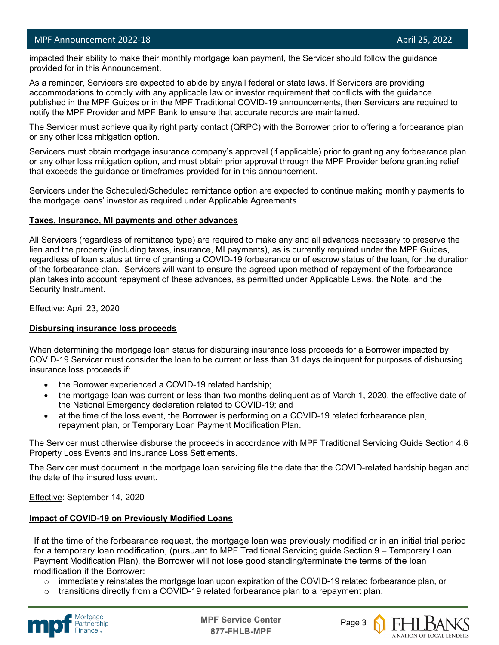l

 impacted their ability to make their monthly mortgage loan payment, the Servicer should follow the guidance provided for in this Announcement.

As a reminder, Servicers are expected to abide by any/all federal or state laws. If Servicers are providing accommodations to comply with any applicable law or investor requirement that conflicts with the guidance published in the MPF Guides or in the MPF Traditional COVID-19 announcements, then Servicers are required to notify the MPF Provider and MPF Bank to ensure that accurate records are maintained.

The Servicer must achieve quality right party contact (QRPC) with the Borrower prior to offering a forbearance plan or any other loss mitigation option.

Servicers must obtain mortgage insurance company's approval (if applicable) prior to granting any forbearance plan or any other loss mitigation option, and must obtain prior approval through the MPF Provider before granting relief that exceeds the guidance or timeframes provided for in this announcement.

Servicers under the Scheduled/Scheduled remittance option are expected to continue making monthly payments to the mortgage loans' investor as required under Applicable Agreements.

#### **Taxes, Insurance, MI payments and other advances**

All Servicers (regardless of remittance type) are required to make any and all advances necessary to preserve the lien and the property (including taxes, insurance, MI payments), as is currently required under the MPF Guides, regardless of loan status at time of granting a COVID-19 forbearance or of escrow status of the loan, for the duration of the forbearance plan. Servicers will want to ensure the agreed upon method of repayment of the forbearance plan takes into account repayment of these advances, as permitted under Applicable Laws, the Note, and the Security Instrument.

Effective: April 23, 2020

# **Disbursing insurance loss proceeds**

When determining the mortgage loan status for disbursing insurance loss proceeds for a Borrower impacted by COVID-19 Servicer must consider the loan to be current or less than 31 days delinquent for purposes of disbursing insurance loss proceeds if:

- the Borrower experienced a COVID-19 related hardship;
- the mortgage loan was current or less than two months delinquent as of March 1, 2020, the effective date of the National Emergency declaration related to COVID-19; and
- at the time of the loss event, the Borrower is performing on a COVID-19 related forbearance plan, repayment plan, or Temporary Loan Payment Modification Plan.

The Servicer must otherwise disburse the proceeds in accordance with MPF Traditional Servicing Guide Section 4.6 Property Loss Events and Insurance Loss Settlements.

The Servicer must document in the mortgage loan servicing file the date that the COVID-related hardship began and the date of the insured loss event.

Effective: September 14, 2020

# **Impact of COVID-19 on Previously Modified Loans**

If at the time of the forbearance request, the mortgage loan was previously modified or in an initial trial period for a temporary loan modification, (pursuant to MPF Traditional Servicing guide Section 9 – Temporary Loan Payment Modification Plan), the Borrower will not lose good standing/terminate the terms of the loan modification if the Borrower:

- $\circ$  immediately reinstates the mortgage loan upon expiration of the COVID-19 related forbearance plan, or
- transitions directly from a COVID-19 related forbearance plan to a repayment plan.



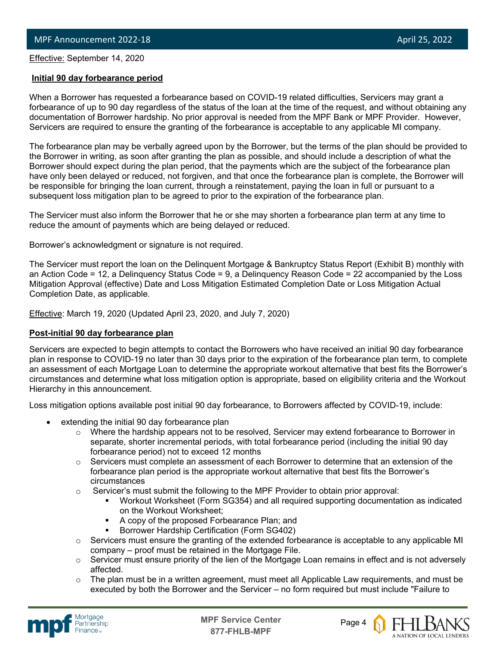Effective: September 14, <sup>2020</sup>

l

# **Initial 90 day forbearance period**

When a Borrower has requested a forbearance based on COVID-19 related difficulties, Servicers may grant a forbearance of up to 90 day regardless of the status of the loan at the time of the request, and without obtaining any documentation of Borrower hardship. No prior approval is needed from the MPF Bank or MPF Provider. However, Servicers are required to ensure the granting of the forbearance is acceptable to any applicable MI company.

The forbearance plan may be verbally agreed upon by the Borrower, but the terms of the plan should be provided to the Borrower in writing, as soon after granting the plan as possible, and should include a description of what the Borrower should expect during the plan period, that the payments which are the subject of the forbearance plan have only been delayed or reduced, not forgiven, and that once the forbearance plan is complete, the Borrower will be responsible for bringing the loan current, through a reinstatement, paying the loan in full or pursuant to a subsequent loss mitigation plan to be agreed to prior to the expiration of the forbearance plan.

The Servicer must also inform the Borrower that he or she may shorten a forbearance plan term at any time to reduce the amount of payments which are being delayed or reduced.

Borrower's acknowledgment or signature is not required.

The Servicer must report the loan on the Delinquent Mortgage & Bankruptcy Status Report (Exhibit B) monthly with an Action Code = 12, a Delinquency Status Code = 9, a Delinquency Reason Code = 22 accompanied by the Loss Mitigation Approval (effective) Date and Loss Mitigation Estimated Completion Date or Loss Mitigation Actual Completion Date, as applicable.

**Effective: March 19, 2020 (Updated April 23, 2020, and July 7, 2020)** 

# **Post-initial 90 day forbearance plan**

Servicers are expected to begin attempts to contact the Borrowers who have received an initial 90 day forbearance plan in response to COVID-19 no later than 30 days prior to the expiration of the forbearance plan term, to complete an assessment of each Mortgage Loan to determine the appropriate workout alternative that best fits the Borrower's circumstances and determine what loss mitigation option is appropriate, based on eligibility criteria and the Workout Hierarchy in this announcement.

Loss mitigation options available post initial 90 day forbearance, to Borrowers affected by COVID-19, include:

- extending the initial 90 day forbearance plan
	- $\circ$  Where the hardship appears not to be resolved, Servicer may extend forbearance to Borrower in separate, shorter incremental periods, with total forbearance period (including the initial 90 day forbearance period) not to exceed 12 months
	- $\circ$  Servicers must complete an assessment of each Borrower to determine that an extension of the forbearance plan period is the appropriate workout alternative that best fits the Borrower's circumstances
	- $\circ$  Servicer's must submit the following to the MPF Provider to obtain prior approval:
		- Workout Worksheet (Form SG354) and all required supporting documentation as indicated on the Workout Worksheet;
		- A copy of the proposed Forbearance Plan; and
		- Borrower Hardship Certification (Form SG402)
	- o Servicers must ensure the granting of the extended forbearance is acceptable to any applicable MI company – proof must be retained in the Mortgage File.
	- o Servicer must ensure priority of the lien of the Mortgage Loan remains in effect and is not adversely affected.
	- $\circ$  The plan must be in a written agreement, must meet all Applicable Law requirements, and must be executed by both the Borrower and the Servicer – no form required but must include "Failure to





A NATION OF LOCAL LENDERS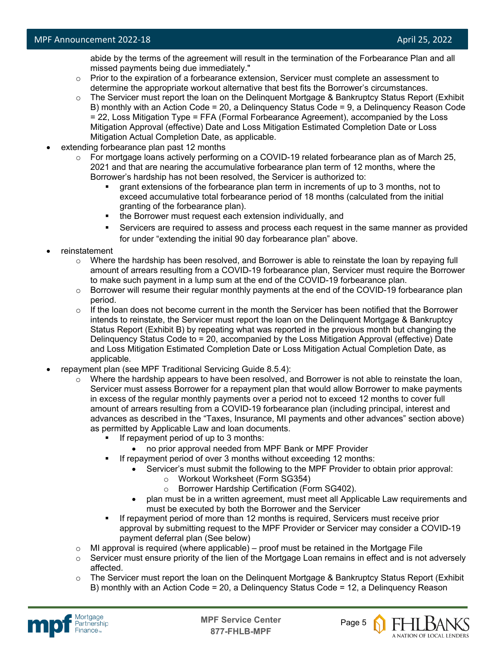abide by the terms of the agreement will result in the termination of the Forbearance Plan and all missed payments being due immediately."

- $\circ$  Prior to the expiration of a forbearance extension, Servicer must complete an assessment to determine the appropriate workout alternative that best fits the Borrower's circumstances.
- o The Servicer must report the loan on the Delinquent Mortgage & Bankruptcy Status Report (Exhibit B) monthly with an Action Code = 20, a Delinquency Status Code = 9, a Delinquency Reason Code = 22, Loss Mitigation Type = FFA (Formal Forbearance Agreement), accompanied by the Loss Mitigation Approval (effective) Date and Loss Mitigation Estimated Completion Date or Loss Mitigation Actual Completion Date, as applicable.
- extending forbearance plan past 12 months
	- o For mortgage loans actively performing on a COVID-19 related forbearance plan as of March 25, 2021 and that are nearing the accumulative forbearance plan term of 12 months, where the Borrower's hardship has not been resolved, the Servicer is authorized to:
		- grant extensions of the forbearance plan term in increments of up to 3 months, not to exceed accumulative total forbearance period of 18 months (calculated from the initial granting of the forbearance plan).
		- the Borrower must request each extension individually, and
		- Servicers are required to assess and process each request in the same manner as provided for under "extending the initial 90 day forbearance plan" above.
- reinstatement
	- $\circ$  Where the hardship has been resolved, and Borrower is able to reinstate the loan by repaying full amount of arrears resulting from a COVID-19 forbearance plan, Servicer must require the Borrower to make such payment in a lump sum at the end of the COVID-19 forbearance plan.
	- $\circ$  Borrower will resume their regular monthly payments at the end of the COVID-19 forbearance plan period.
	- $\circ$  If the loan does not become current in the month the Servicer has been notified that the Borrower intends to reinstate, the Servicer must report the loan on the Delinquent Mortgage & Bankruptcy Status Report (Exhibit B) by repeating what was reported in the previous month but changing the Delinquency Status Code to = 20, accompanied by the Loss Mitigation Approval (effective) Date and Loss Mitigation Estimated Completion Date or Loss Mitigation Actual Completion Date, as applicable.
- repayment plan (see MPF Traditional Servicing Guide 8.5.4):
	- $\circ$  Where the hardship appears to have been resolved, and Borrower is not able to reinstate the loan, Servicer must assess Borrower for a repayment plan that would allow Borrower to make payments in excess of the regular monthly payments over a period not to exceed 12 months to cover full amount of arrears resulting from a COVID-19 forbearance plan (including principal, interest and advances as described in the "Taxes, Insurance, MI payments and other advances" section above) as permitted by Applicable Law and loan documents.
		- If repayment period of up to 3 months:
			- no prior approval needed from MPF Bank or MPF Provider
		- If repayment period of over 3 months without exceeding 12 months:
			- Servicer's must submit the following to the MPF Provider to obtain prior approval:
				- o Workout Worksheet (Form SG354)
				- o Borrower Hardship Certification (Form SG402).
			- plan must be in a written agreement, must meet all Applicable Law requirements and must be executed by both the Borrower and the Servicer
		- If repayment period of more than 12 months is required, Servicers must receive prior approval by submitting request to the MPF Provider or Servicer may consider a COVID-19 payment deferral plan (See below)
	- $\circ$  MI approval is required (where applicable) proof must be retained in the Mortgage File
	- $\circ$  Servicer must ensure priority of the lien of the Mortgage Loan remains in effect and is not adversely affected.
	- $\circ$  The Servicer must report the loan on the Delinquent Mortgage & Bankruptcy Status Report (Exhibit B) monthly with an Action Code = 20, a Delinquency Status Code = 12, a Delinquency Reason





A NATION OF LOCAL LENDERS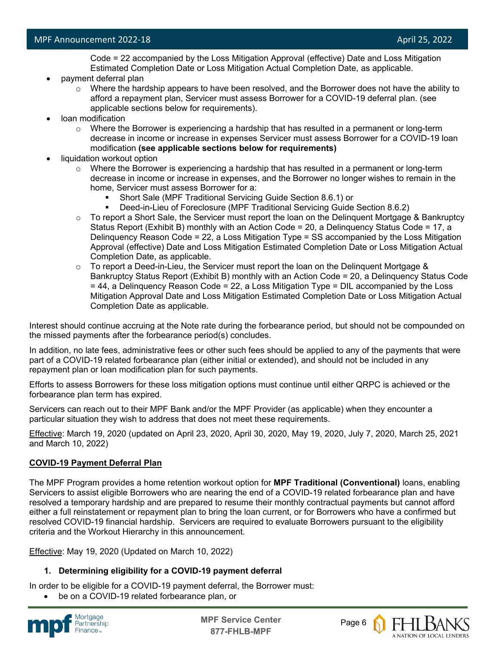Code = 22 accompanied by the Loss Mitigation Approval (effective) Date and Loss Mitigation Estimated Completion Date or Loss Mitigation Actual Completion Date, as applicable.

- payment deferral plan
	- $\circ$  Where the hardship appears to have been resolved, and the Borrower does not have the ability to afford a repayment plan, Servicer must assess Borrower for a COVID-19 deferral plan. (see applicable sections below for requirements).
- loan modification
	- $\circ$  Where the Borrower is experiencing a hardship that has resulted in a permanent or long-term decrease in income or increase in expenses Servicer must assess Borrower for a COVID-19 loan modification **(see applicable sections below for requirements)**
- liquidation workout option
	- $\circ$  Where the Borrower is experiencing a hardship that has resulted in a permanent or long-term decrease in income or increase in expenses, and the Borrower no longer wishes to remain in the home, Servicer must assess Borrower for a:
		- Short Sale (MPF Traditional Servicing Guide Section 8.6.1) or
		- Deed-in-Lieu of Foreclosure (MPF Traditional Servicing Guide Section 8.6.2)
	- $\circ$  To report a Short Sale, the Servicer must report the loan on the Delinguent Mortgage & Bankruptcy Status Report (Exhibit B) monthly with an Action Code = 20, a Delinquency Status Code = 17, a Delinquency Reason Code = 22, a Loss Mitigation Type = SS accompanied by the Loss Mitigation Approval (effective) Date and Loss Mitigation Estimated Completion Date or Loss Mitigation Actual Completion Date, as applicable.
	- $\circ$  To report a Deed-in-Lieu, the Servicer must report the loan on the Delinguent Mortgage & Bankruptcy Status Report (Exhibit B) monthly with an Action Code = 20, a Delinquency Status Code = 44, a Delinquency Reason Code = 22, a Loss Mitigation Type = DIL accompanied by the Loss Mitigation Approval Date and Loss Mitigation Estimated Completion Date or Loss Mitigation Actual Completion Date as applicable.

Interest should continue accruing at the Note rate during the forbearance period, but should not be compounded on the missed payments after the forbearance period(s) concludes.

In addition, no late fees, administrative fees or other such fees should be applied to any of the payments that were part of a COVID-19 related forbearance plan (either initial or extended), and should not be included in any repayment plan or loan modification plan for such payments.

Efforts to assess Borrowers for these loss mitigation options must continue until either QRPC is achieved or the forbearance plan term has expired.

Servicers can reach out to their MPF Bank and/or the MPF Provider (as applicable) when they encounter a particular situation they wish to address that does not meet these requirements.

Effective: March 19, 2020 (updated on April 23, 2020, April 30, 2020, May 19, 2020, July 7, 2020, March 25, 2021 and March 10, 2022)

# **COVID-19 Payment Deferral Plan**

The MPF Program provides a home retention workout option for **MPF Traditional (Conventional)** loans, enabling Servicers to assist eligible Borrowers who are nearing the end of a COVID-19 related forbearance plan and have resolved a temporary hardship and are prepared to resume their monthly contractual payments but cannot afford either a full reinstatement or repayment plan to bring the loan current, or for Borrowers who have a confirmed but resolved COVID-19 financial hardship. Servicers are required to evaluate Borrowers pursuant to the eligibility criteria and the Workout Hierarchy in this announcement.

Effective: May 19, 2020 (Updated on March 10, 2022)

# **1. Determining eligibility for a COVID-19 payment deferral**

In order to be eligible for a COVID-19 payment deferral, the Borrower must:

be on a COVID-19 related forbearance plan, or



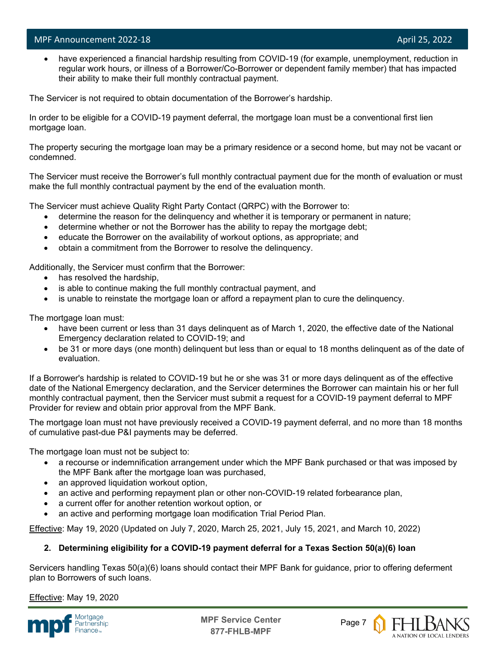l

have experienced a financial hardship resulting from COVID-19 (for example, unemployment, reduction in regular work hours, or illness of a Borrower/Co-Borrower or dependent family member) that has impacted their ability to make their full monthly contractual payment.

The Servicer is not required to obtain documentation of the Borrower's hardship.

In order to be eligible for a COVID-19 payment deferral, the mortgage loan must be a conventional first lien mortgage loan.

The property securing the mortgage loan may be a primary residence or a second home, but may not be vacant or condemned.

The Servicer must receive the Borrower's full monthly contractual payment due for the month of evaluation or must make the full monthly contractual payment by the end of the evaluation month.

The Servicer must achieve Quality Right Party Contact (QRPC) with the Borrower to:

- determine the reason for the delinquency and whether it is temporary or permanent in nature;
- determine whether or not the Borrower has the ability to repay the mortgage debt;
- educate the Borrower on the availability of workout options, as appropriate; and
- obtain a commitment from the Borrower to resolve the delinquency.

Additionally, the Servicer must confirm that the Borrower:

- has resolved the hardship,
- is able to continue making the full monthly contractual payment, and
- is unable to reinstate the mortgage loan or afford a repayment plan to cure the delinquency.

The mortgage loan must:

- have been current or less than 31 days delinguent as of March 1, 2020, the effective date of the National Emergency declaration related to COVID-19; and
- be 31 or more days (one month) delinquent but less than or equal to 18 months delinquent as of the date of evaluation.

If a Borrower's hardship is related to COVID-19 but he or she was 31 or more days delinquent as of the effective date of the National Emergency declaration, and the Servicer determines the Borrower can maintain his or her full monthly contractual payment, then the Servicer must submit a request for a COVID-19 payment deferral to MPF Provider for review and obtain prior approval from the MPF Bank.

The mortgage loan must not have previously received a COVID-19 payment deferral, and no more than 18 months of cumulative past-due P&I payments may be deferred.

The mortgage loan must not be subject to:

- a recourse or indemnification arrangement under which the MPF Bank purchased or that was imposed by the MPF Bank after the mortgage loan was purchased,
- an approved liquidation workout option,
- an active and performing repayment plan or other non-COVID-19 related forbearance plan,
- a current offer for another retention workout option, or
- an active and performing mortgage loan modification Trial Period Plan.

Effective: May 19, 2020 (Updated on July 7, 2020, March 25, 2021, July 15, 2021, and March 10, 2022)

# **2. Determining eligibility for a COVID-19 payment deferral for a Texas Section 50(a)(6) loan**

Servicers handling Texas 50(a)(6) loans should contact their MPF Bank for guidance, prior to offering deferment plan to Borrowers of such loans.

Effective: May 19, 2020



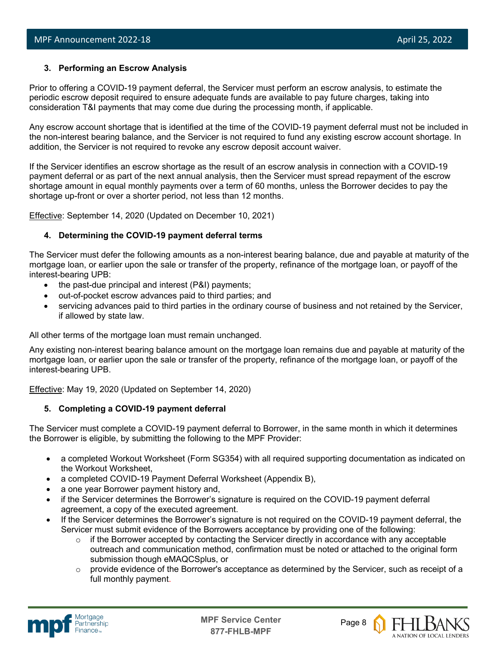# **3. Performing an Escrow Analysis**

Prior to offering a COVID-19 payment deferral, the Servicer must perform an escrow analysis, to estimate the periodic escrow deposit required to ensure adequate funds are available to pay future charges, taking into consideration T&I payments that may come due during the processing month, if applicable.

Any escrow account shortage that is identified at the time of the COVID-19 payment deferral must not be included in the non-interest bearing balance, and the Servicer is not required to fund any existing escrow account shortage. In addition, the Servicer is not required to revoke any escrow deposit account waiver.

If the Servicer identifies an escrow shortage as the result of an escrow analysis in connection with a COVID-19 payment deferral or as part of the next annual analysis, then the Servicer must spread repayment of the escrow shortage amount in equal monthly payments over a term of 60 months, unless the Borrower decides to pay the shortage up-front or over a shorter period, not less than 12 months.

Effective: September 14, 2020 (Updated on December 10, 2021)

# **4. Determining the COVID-19 payment deferral terms**

The Servicer must defer the following amounts as a non-interest bearing balance, due and payable at maturity of the mortgage loan, or earlier upon the sale or transfer of the property, refinance of the mortgage loan, or payoff of the interest-bearing UPB:

- the past-due principal and interest (P&I) payments;
- out-of-pocket escrow advances paid to third parties; and
- servicing advances paid to third parties in the ordinary course of business and not retained by the Servicer, if allowed by state law.

All other terms of the mortgage loan must remain unchanged.

Any existing non-interest bearing balance amount on the mortgage loan remains due and payable at maturity of the mortgage loan, or earlier upon the sale or transfer of the property, refinance of the mortgage loan, or payoff of the interest-bearing UPB.

Effective: May 19, 2020 (Updated on September 14, 2020)

# **5. Completing a COVID-19 payment deferral**

The Servicer must complete a COVID-19 payment deferral to Borrower, in the same month in which it determines the Borrower is eligible, by submitting the following to the MPF Provider:

- a completed Workout Worksheet (Form SG354) with all required supporting documentation as indicated on the Workout Worksheet,
- a completed COVID-19 Payment Deferral Worksheet (Appendix B),
- a one year Borrower payment history and,
- if the Servicer determines the Borrower's signature is required on the COVID-19 payment deferral agreement, a copy of the executed agreement.
- If the Servicer determines the Borrower's signature is not required on the COVID-19 payment deferral, the Servicer must submit evidence of the Borrowers acceptance by providing one of the following:
	- $\circ$  if the Borrower accepted by contacting the Servicer directly in accordance with any acceptable outreach and communication method, confirmation must be noted or attached to the original form submission though eMAQCSplus, or
	- $\circ$  provide evidence of the Borrower's acceptance as determined by the Servicer, such as receipt of a full monthly payment.



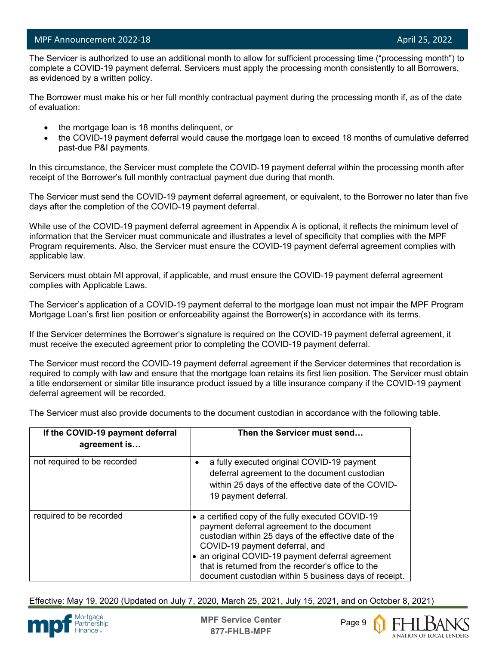l

 The Servicer is authorized to use an additional month to allow for sufficient processing time ("processing month") to complete a COVID-19 payment deferral. Servicers must apply the processing month consistently to all Borrowers, as evidenced by a written policy.

The Borrower must make his or her full monthly contractual payment during the processing month if, as of the date of evaluation:

- the mortgage loan is 18 months delinquent, or
- the COVID-19 payment deferral would cause the mortgage loan to exceed 18 months of cumulative deferred past-due P&I payments.

In this circumstance, the Servicer must complete the COVID-19 payment deferral within the processing month after receipt of the Borrower's full monthly contractual payment due during that month.

The Servicer must send the COVID-19 payment deferral agreement, or equivalent, to the Borrower no later than five days after the completion of the COVID-19 payment deferral.

While use of the COVID-19 payment deferral agreement in Appendix A is optional, it reflects the minimum level of information that the Servicer must communicate and illustrates a level of specificity that complies with the MPF Program requirements. Also, the Servicer must ensure the COVID-19 payment deferral agreement complies with applicable law.

Servicers must obtain MI approval, if applicable, and must ensure the COVID-19 payment deferral agreement complies with Applicable Laws.

The Servicer's application of a COVID-19 payment deferral to the mortgage loan must not impair the MPF Program Mortgage Loan's first lien position or enforceability against the Borrower(s) in accordance with its terms.

If the Servicer determines the Borrower's signature is required on the COVID-19 payment deferral agreement, it must receive the executed agreement prior to completing the COVID-19 payment deferral.

The Servicer must record the COVID-19 payment deferral agreement if the Servicer determines that recordation is required to comply with law and ensure that the mortgage loan retains its first lien position. The Servicer must obtain a title endorsement or similar title insurance product issued by a title insurance company if the COVID-19 payment deferral agreement will be recorded.

The Servicer must also provide documents to the document custodian in accordance with the following table.

| If the COVID-19 payment deferral<br>agreement is | Then the Servicer must send                                                                                                                                                                                                                                                                                                                                  |
|--------------------------------------------------|--------------------------------------------------------------------------------------------------------------------------------------------------------------------------------------------------------------------------------------------------------------------------------------------------------------------------------------------------------------|
| not required to be recorded                      | a fully executed original COVID-19 payment<br>deferral agreement to the document custodian<br>within 25 days of the effective date of the COVID-<br>19 payment deferral.                                                                                                                                                                                     |
| required to be recorded                          | • a certified copy of the fully executed COVID-19<br>payment deferral agreement to the document<br>custodian within 25 days of the effective date of the<br>COVID-19 payment deferral, and<br>an original COVID-19 payment deferral agreement<br>that is returned from the recorder's office to the<br>document custodian within 5 business days of receipt. |

Effective: May 19, 2020 (Updated on July 7, 2020, March 25, 2021, July 15, 2021, and on October 8, 2021)



**MPF Service Center** Page 9 **877-FHLB-MPF**



A NATION OF LOCAL LENDERS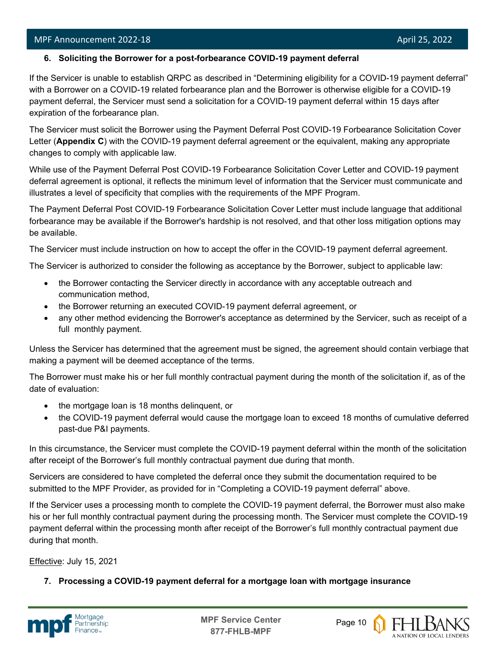l

# **6. Soliciting the Borrower for a post-forbearance COVID-19 payment deferral**

If the Servicer is unable to establish QRPC as described in "Determining eligibility for a COVID-19 payment deferral" with a Borrower on a COVID-19 related forbearance plan and the Borrower is otherwise eligible for a COVID-19 payment deferral, the Servicer must send a solicitation for a COVID-19 payment deferral within 15 days after expiration of the forbearance plan.

The Servicer must solicit the Borrower using the Payment Deferral Post COVID-19 Forbearance Solicitation Cover Letter (**Appendix C**) with the COVID-19 payment deferral agreement or the equivalent, making any appropriate changes to comply with applicable law.

While use of the Payment Deferral Post COVID-19 Forbearance Solicitation Cover Letter and COVID-19 payment deferral agreement is optional, it reflects the minimum level of information that the Servicer must communicate and illustrates a level of specificity that complies with the requirements of the MPF Program.

The Payment Deferral Post COVID-19 Forbearance Solicitation Cover Letter must include language that additional forbearance may be available if the Borrower's hardship is not resolved, and that other loss mitigation options may be available.

The Servicer must include instruction on how to accept the offer in the COVID-19 payment deferral agreement.

The Servicer is authorized to consider the following as acceptance by the Borrower, subject to applicable law:

- the Borrower contacting the Servicer directly in accordance with any acceptable outreach and communication method,
- the Borrower returning an executed COVID-19 payment deferral agreement, or
- any other method evidencing the Borrower's acceptance as determined by the Servicer, such as receipt of a full monthly payment.

Unless the Servicer has determined that the agreement must be signed, the agreement should contain verbiage that making a payment will be deemed acceptance of the terms.

The Borrower must make his or her full monthly contractual payment during the month of the solicitation if, as of the date of evaluation:

- the mortgage loan is 18 months delinquent, or
- the COVID-19 payment deferral would cause the mortgage loan to exceed 18 months of cumulative deferred past-due P&I payments.

In this circumstance, the Servicer must complete the COVID-19 payment deferral within the month of the solicitation after receipt of the Borrower's full monthly contractual payment due during that month.

Servicers are considered to have completed the deferral once they submit the documentation required to be submitted to the MPF Provider, as provided for in "Completing a COVID-19 payment deferral" above.

If the Servicer uses a processing month to complete the COVID-19 payment deferral, the Borrower must also make his or her full monthly contractual payment during the processing month. The Servicer must complete the COVID-19 payment deferral within the processing month after receipt of the Borrower's full monthly contractual payment due during that month.

Effective: July 15, 2021

**7. Processing a COVID-19 payment deferral for a mortgage loan with mortgage insurance**



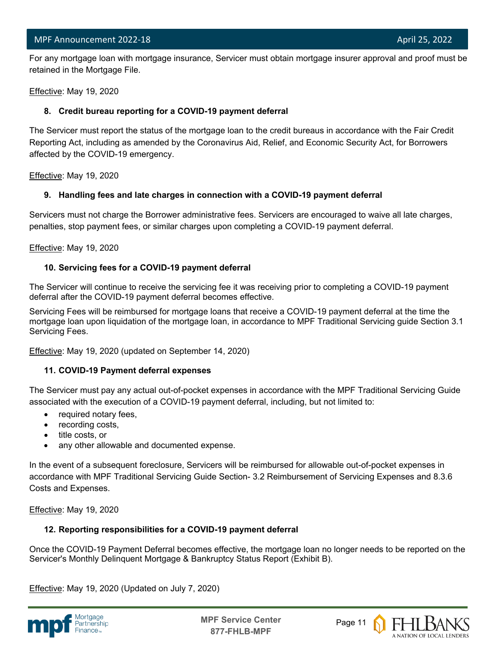l For any mortgage loan with mortgage insurance, Servicer must obtain mortgage insurer approval and proof must be retained in the Mortgage File.

Effective: May 19, 2020

# **8. Credit bureau reporting for a COVID-19 payment deferral**

The Servicer must report the status of the mortgage loan to the credit bureaus in accordance with the Fair Credit Reporting Act, including as amended by the Coronavirus Aid, Relief, and Economic Security Act, for Borrowers affected by the COVID-19 emergency.

Effective: May 19, 2020

# **9. Handling fees and late charges in connection with a COVID-19 payment deferral**

Servicers must not charge the Borrower administrative fees. Servicers are encouraged to waive all late charges, penalties, stop payment fees, or similar charges upon completing a COVID-19 payment deferral.

Effective: May 19, 2020

# **10. Servicing fees for a COVID-19 payment deferral**

The Servicer will continue to receive the servicing fee it was receiving prior to completing a COVID-19 payment deferral after the COVID-19 payment deferral becomes effective.

Servicing Fees will be reimbursed for mortgage loans that receive a COVID-19 payment deferral at the time the mortgage loan upon liquidation of the mortgage loan, in accordance to MPF Traditional Servicing guide Section 3.1 Servicing Fees.

Effective: May 19, 2020 (updated on September 14, 2020)

# **11. COVID-19 Payment deferral expenses**

The Servicer must pay any actual out-of-pocket expenses in accordance with the MPF Traditional Servicing Guide associated with the execution of a COVID-19 payment deferral, including, but not limited to:

- required notary fees,
- recording costs,
- title costs, or
- any other allowable and documented expense.

In the event of a subsequent foreclosure, Servicers will be reimbursed for allowable out-of-pocket expenses in accordance with MPF Traditional Servicing Guide Section- 3.2 Reimbursement of Servicing Expenses and 8.3.6 Costs and Expenses.

Effective: May 19, 2020

# **12. Reporting responsibilities for a COVID-19 payment deferral**

Once the COVID-19 Payment Deferral becomes effective, the mortgage loan no longer needs to be reported on the Servicer's Monthly Delinquent Mortgage & Bankruptcy Status Report (Exhibit B).

Effective: May 19, 2020 (Updated on July 7, 2020)



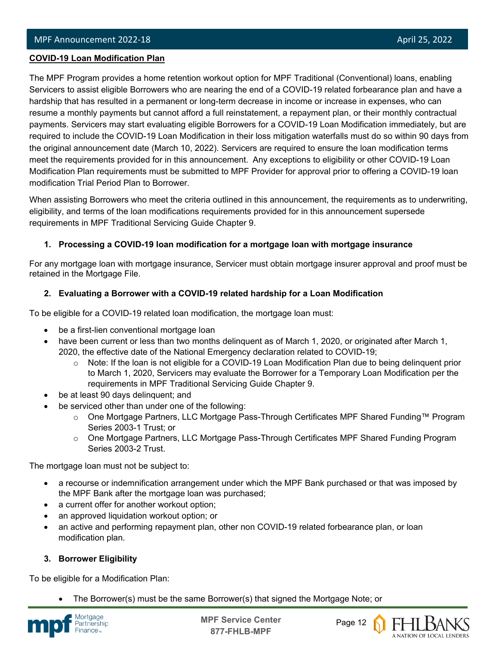#### l **COVID-19 Loan Modification Plan**

The MPF Program provides a home retention workout option for MPF Traditional (Conventional) loans, enabling Servicers to assist eligible Borrowers who are nearing the end of a COVID-19 related forbearance plan and have a hardship that has resulted in a permanent or long-term decrease in income or increase in expenses, who can resume a monthly payments but cannot afford a full reinstatement, a repayment plan, or their monthly contractual payments. Servicers may start evaluating eligible Borrowers for a COVID-19 Loan Modification immediately, but are required to include the COVID-19 Loan Modification in their loss mitigation waterfalls must do so within 90 days from the original announcement date (March 10, 2022). Servicers are required to ensure the loan modification terms meet the requirements provided for in this announcement. Any exceptions to eligibility or other COVID-19 Loan Modification Plan requirements must be submitted to MPF Provider for approval prior to offering a COVID-19 loan modification Trial Period Plan to Borrower.

When assisting Borrowers who meet the criteria outlined in this announcement, the requirements as to underwriting, eligibility, and terms of the loan modifications requirements provided for in this announcement supersede requirements in MPF Traditional Servicing Guide Chapter 9.

# **1. Processing a COVID-19 loan modification for a mortgage loan with mortgage insurance**

For any mortgage loan with mortgage insurance, Servicer must obtain mortgage insurer approval and proof must be retained in the Mortgage File.

# **2. Evaluating a Borrower with a COVID-19 related hardship for a Loan Modification**

To be eligible for a COVID-19 related loan modification, the mortgage loan must:

- be a first-lien conventional mortgage loan
- have been current or less than two months delinquent as of March 1, 2020, or originated after March 1, 2020, the effective date of the National Emergency declaration related to COVID-19;
	- $\circ$  Note: If the loan is not eligible for a COVID-19 Loan Modification Plan due to being delinquent prior to March 1, 2020, Servicers may evaluate the Borrower for a Temporary Loan Modification per the requirements in MPF Traditional Servicing Guide Chapter 9.
- be at least 90 days delinquent; and
- be serviced other than under one of the following:
	- o One Mortgage Partners, LLC Mortgage Pass-Through Certificates MPF Shared Funding™ Program Series 2003-1 Trust; or
	- o One Mortgage Partners, LLC Mortgage Pass-Through Certificates MPF Shared Funding Program Series 2003-2 Trust.

The mortgage loan must not be subject to:

- a recourse or indemnification arrangement under which the MPF Bank purchased or that was imposed by the MPF Bank after the mortgage loan was purchased;
- a current offer for another workout option;
- an approved liquidation workout option; or
- an active and performing repayment plan, other non COVID-19 related forbearance plan, or loan modification plan.

# **3. Borrower Eligibility**

To be eligible for a Modification Plan:

• The Borrower(s) must be the same Borrower(s) that signed the Mortgage Note; or





A NATION OF LOCAL LENDERS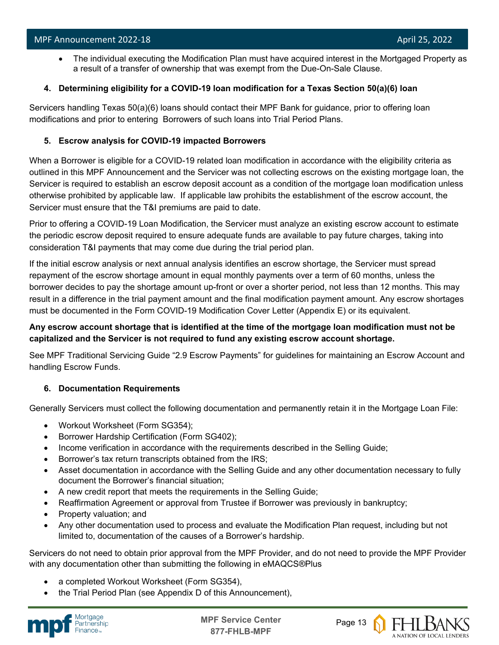• The individual executing the Modification Plan must have acquired interest in the Mortgaged Property as a result of a transfer of ownership that was exempt from the Due-On-Sale Clause.

# **4. Determining eligibility for a COVID-19 loan modification for a Texas Section 50(a)(6) loan**

Servicers handling Texas 50(a)(6) loans should contact their MPF Bank for guidance, prior to offering loan modifications and prior to entering Borrowers of such loans into Trial Period Plans.

# **5. Escrow analysis for COVID-19 impacted Borrowers**

When a Borrower is eligible for a COVID-19 related loan modification in accordance with the eligibility criteria as outlined in this MPF Announcement and the Servicer was not collecting escrows on the existing mortgage loan, the Servicer is required to establish an escrow deposit account as a condition of the mortgage loan modification unless otherwise prohibited by applicable law. If applicable law prohibits the establishment of the escrow account, the Servicer must ensure that the T&I premiums are paid to date.

Prior to offering a COVID-19 Loan Modification, the Servicer must analyze an existing escrow account to estimate the periodic escrow deposit required to ensure adequate funds are available to pay future charges, taking into consideration T&I payments that may come due during the trial period plan.

If the initial escrow analysis or next annual analysis identifies an escrow shortage, the Servicer must spread repayment of the escrow shortage amount in equal monthly payments over a term of 60 months, unless the borrower decides to pay the shortage amount up-front or over a shorter period, not less than 12 months. This may result in a difference in the trial payment amount and the final modification payment amount. Any escrow shortages must be documented in the Form COVID-19 Modification Cover Letter (Appendix E) or its equivalent.

# **Any escrow account shortage that is identified at the time of the mortgage loan modification must not be capitalized and the Servicer is not required to fund any existing escrow account shortage.**

See MPF Traditional Servicing Guide "2.9 Escrow Payments" for guidelines for maintaining an Escrow Account and handling Escrow Funds.

# **6. Documentation Requirements**

Generally Servicers must collect the following documentation and permanently retain it in the Mortgage Loan File:

- Workout Worksheet (Form SG354);
- Borrower Hardship Certification (Form SG402);
- Income verification in accordance with the requirements described in the Selling Guide;
- Borrower's tax return transcripts obtained from the IRS;
- Asset documentation in accordance with the Selling Guide and any other documentation necessary to fully document the Borrower's financial situation;
- A new credit report that meets the requirements in the Selling Guide;
- Reaffirmation Agreement or approval from Trustee if Borrower was previously in bankruptcy;
- Property valuation; and
- Any other documentation used to process and evaluate the Modification Plan request, including but not limited to, documentation of the causes of a Borrower's hardship.

Servicers do not need to obtain prior approval from the MPF Provider, and do not need to provide the MPF Provider with any documentation other than submitting the following in eMAQCS®Plus

- a completed Workout Worksheet (Form SG354),
- the Trial Period Plan (see Appendix D of this Announcement),



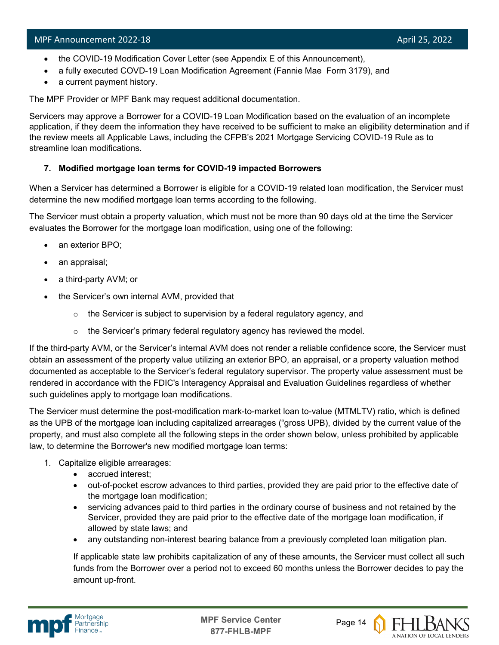- the COVID-19 Modification Cover Letter (see Appendix E of this Announcement),
- a fully executed COVD-19 Loan Modification Agreement (Fannie Mae Form 3179), and
- a current payment history.

The MPF Provider or MPF Bank may request additional documentation.

Servicers may approve a Borrower for a COVID-19 Loan Modification based on the evaluation of an incomplete application, if they deem the information they have received to be sufficient to make an eligibility determination and if the review meets all Applicable Laws, including the CFPB's 2021 Mortgage Servicing COVID-19 Rule as to streamline loan modifications.

# **7. Modified mortgage loan terms for COVID-19 impacted Borrowers**

When a Servicer has determined a Borrower is eligible for a COVID-19 related loan modification, the Servicer must determine the new modified mortgage loan terms according to the following.

The Servicer must obtain a property valuation, which must not be more than 90 days old at the time the Servicer evaluates the Borrower for the mortgage loan modification, using one of the following:

- an exterior BPO;
- an appraisal;
- a third-party AVM; or
- the Servicer's own internal AVM, provided that
	- $\circ$  the Servicer is subject to supervision by a federal regulatory agency, and
	- $\circ$  the Servicer's primary federal regulatory agency has reviewed the model.

If the third-party AVM, or the Servicer's internal AVM does not render a reliable confidence score, the Servicer must obtain an assessment of the property value utilizing an exterior BPO, an appraisal, or a property valuation method documented as acceptable to the Servicer's federal regulatory supervisor. The property value assessment must be rendered in accordance with the FDIC's Interagency Appraisal and Evaluation Guidelines regardless of whether such guidelines apply to mortgage loan modifications.

The Servicer must determine the post-modification mark-to-market loan to-value (MTMLTV) ratio, which is defined as the UPB of the mortgage loan including capitalized arrearages ("gross UPB), divided by the current value of the property, and must also complete all the following steps in the order shown below, unless prohibited by applicable law, to determine the Borrower's new modified mortgage loan terms:

- 1. Capitalize eligible arrearages:
	- accrued interest;
	- out-of-pocket escrow advances to third parties, provided they are paid prior to the effective date of the mortgage loan modification;
	- servicing advances paid to third parties in the ordinary course of business and not retained by the Servicer, provided they are paid prior to the effective date of the mortgage loan modification, if allowed by state laws; and
	- any outstanding non-interest bearing balance from a previously completed loan mitigation plan.

If applicable state law prohibits capitalization of any of these amounts, the Servicer must collect all such funds from the Borrower over a period not to exceed 60 months unless the Borrower decides to pay the amount up-front.





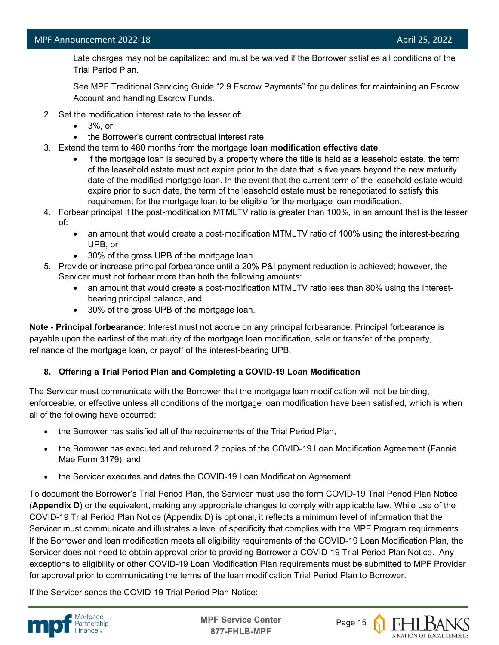Late charges may not be capitalized and must be waived if the Borrower satisfies all conditions of the Trial Period Plan.

See MPF Traditional Servicing Guide "2.9 Escrow Payments" for guidelines for maintaining an Escrow Account and handling Escrow Funds.

- 2. Set the modification interest rate to the lesser of:
	- 3%, or
	- the Borrower's current contractual interest rate.
- 3. Extend the term to 480 months from the mortgage **loan modification effective date**.
	- If the mortgage loan is secured by a property where the title is held as a leasehold estate, the term of the leasehold estate must not expire prior to the date that is five years beyond the new maturity date of the modified mortgage loan. In the event that the current term of the leasehold estate would expire prior to such date, the term of the leasehold estate must be renegotiated to satisfy this requirement for the mortgage loan to be eligible for the mortgage loan modification.
- 4. Forbear principal if the post-modification MTMLTV ratio is greater than 100%, in an amount that is the lesser of:
	- an amount that would create a post-modification MTMLTV ratio of 100% using the interest-bearing UPB, or
	- 30% of the gross UPB of the mortgage loan.
- 5. Provide or increase principal forbearance until a 20% P&I payment reduction is achieved; however, the Servicer must not forbear more than both the following amounts:
	- an amount that would create a post-modification MTMLTV ratio less than 80% using the interestbearing principal balance, and
	- 30% of the gross UPB of the mortgage loan.

**Note - Principal forbearance**: Interest must not accrue on any principal forbearance. Principal forbearance is payable upon the earliest of the maturity of the mortgage loan modification, sale or transfer of the property, refinance of the mortgage loan, or payoff of the interest-bearing UPB.

# **8. Offering a Trial Period Plan and Completing a COVID-19 Loan Modification**

The Servicer must communicate with the Borrower that the mortgage loan modification will not be binding, enforceable, or effective unless all conditions of the mortgage loan modification have been satisfied, which is when all of the following have occurred:

- the Borrower has satisfied all of the requirements of the Trial Period Plan,
- the Borrower has executed and returned 2 copies of the COVID-19 Loan Modification Agreement [\(Fannie](https://singlefamily.fanniemae.com/media/document/pdf/loan-modification-agreement-form-3179-pdf)  [Mae Form 3179\),](https://singlefamily.fanniemae.com/media/document/pdf/loan-modification-agreement-form-3179-pdf) and
- the Servicer executes and dates the COVID-19 Loan Modification Agreement.

To document the Borrower's Trial Period Plan, the Servicer must use the form COVID-19 Trial Period Plan Notice (**Appendix D**) or the equivalent, making any appropriate changes to comply with applicable law. While use of the COVID-19 Trial Period Plan Notice (Appendix D) is optional, it reflects a minimum level of information that the Servicer must communicate and illustrates a level of specificity that complies with the MPF Program requirements. If the Borrower and loan modification meets all eligibility requirements of the COVID-19 Loan Modification Plan, the Servicer does not need to obtain approval prior to providing Borrower a COVID-19 Trial Period Plan Notice. Any exceptions to eligibility or other COVID-19 Loan Modification Plan requirements must be submitted to MPF Provider for approval prior to communicating the terms of the loan modification Trial Period Plan to Borrower.

If the Servicer sends the COVID-19 Trial Period Plan Notice:



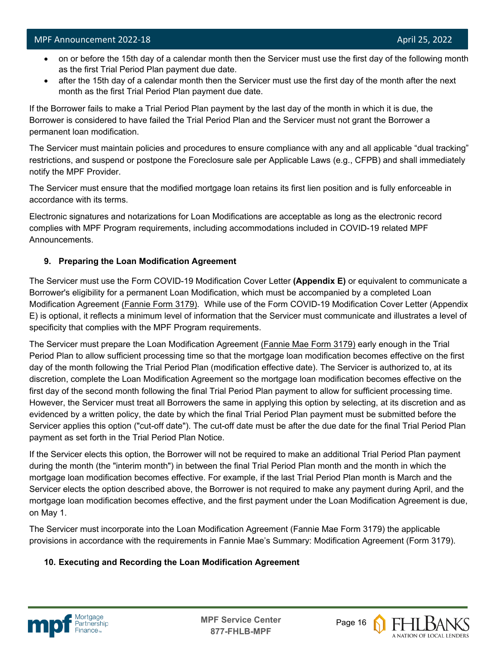- on or before the 15th day of a calendar month then the Servicer must use the first day of the following month as the first Trial Period Plan payment due date.
- after the 15th day of a calendar month then the Servicer must use the first day of the month after the next month as the first Trial Period Plan payment due date.

If the Borrower fails to make a Trial Period Plan payment by the last day of the month in which it is due, the Borrower is considered to have failed the Trial Period Plan and the Servicer must not grant the Borrower a permanent loan modification.

The Servicer must maintain policies and procedures to ensure compliance with any and all applicable "dual tracking" restrictions, and suspend or postpone the Foreclosure sale per Applicable Laws (e.g., CFPB) and shall immediately notify the MPF Provider.

The Servicer must ensure that the modified mortgage loan retains its first lien position and is fully enforceable in accordance with its terms.

Electronic signatures and notarizations for Loan Modifications are acceptable as long as the electronic record complies with MPF Program requirements, including accommodations included in COVID-19 related MPF Announcements.

# **9. Preparing the Loan Modification Agreement**

The Servicer must use the Form COVID-19 Modification Cover Letter **(Appendix E)** or equivalent to communicate a Borrower's eligibility for a permanent Loan Modification, which must be accompanied by a completed Loan Modification Agreement [\(Fannie Form 3179\).](https://singlefamily.fanniemae.com/media/document/pdf/loan-modification-agreement-form-3179-pdf) While use of the Form COVID-19 Modification Cover Letter (Appendix E) is optional, it reflects a minimum level of information that the Servicer must communicate and illustrates a level of specificity that complies with the MPF Program requirements.

The Servicer must prepare the Loan Modification Agreement [\(Fannie Mae Form 3179\)](https://singlefamily.fanniemae.com/media/document/pdf/loan-modification-agreement-form-3179-pdf) early enough in the Trial Period Plan to allow sufficient processing time so that the mortgage loan modification becomes effective on the first day of the month following the Trial Period Plan (modification effective date). The Servicer is authorized to, at its discretion, complete the Loan Modification Agreement so the mortgage loan modification becomes effective on the first day of the second month following the final Trial Period Plan payment to allow for sufficient processing time. However, the Servicer must treat all Borrowers the same in applying this option by selecting, at its discretion and as evidenced by a written policy, the date by which the final Trial Period Plan payment must be submitted before the Servicer applies this option ("cut-off date"). The cut-off date must be after the due date for the final Trial Period Plan payment as set forth in the Trial Period Plan Notice.

If the Servicer elects this option, the Borrower will not be required to make an additional Trial Period Plan payment during the month (the "interim month") in between the final Trial Period Plan month and the month in which the mortgage loan modification becomes effective. For example, if the last Trial Period Plan month is March and the Servicer elects the option described above, the Borrower is not required to make any payment during April, and the mortgage loan modification becomes effective, and the first payment under the Loan Modification Agreement is due, on May 1.

The Servicer must incorporate into the Loan Modification Agreement (Fannie Mae Form 3179) the applicable provisions in accordance with the requirements in Fannie Mae's Summary: Modification Agreement (Form 3179).

# **10. Executing and Recording the Loan Modification Agreement**



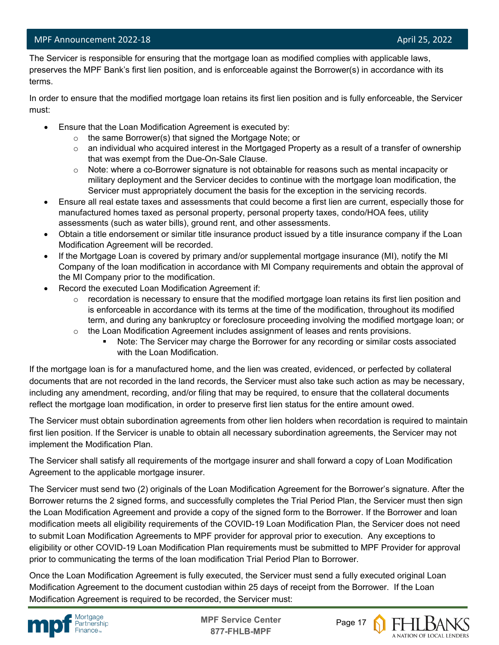l

 The Servicer is responsible for ensuring that the mortgage loan as modified complies with applicable laws, preserves the MPF Bank's first lien position, and is enforceable against the Borrower(s) in accordance with its terms.

In order to ensure that the modified mortgage loan retains its first lien position and is fully enforceable, the Servicer must:

- Ensure that the Loan Modification Agreement is executed by:
	- o the same Borrower(s) that signed the Mortgage Note; or
	- $\circ$  an individual who acquired interest in the Mortgaged Property as a result of a transfer of ownership that was exempt from the Due-On-Sale Clause.
	- $\circ$  Note: where a co-Borrower signature is not obtainable for reasons such as mental incapacity or military deployment and the Servicer decides to continue with the mortgage loan modification, the Servicer must appropriately document the basis for the exception in the servicing records.
- Ensure all real estate taxes and assessments that could become a first lien are current, especially those for manufactured homes taxed as personal property, personal property taxes, condo/HOA fees, utility assessments (such as water bills), ground rent, and other assessments.
- Obtain a title endorsement or similar title insurance product issued by a title insurance company if the Loan Modification Agreement will be recorded.
- If the Mortgage Loan is covered by primary and/or supplemental mortgage insurance (MI), notify the MI Company of the loan modification in accordance with MI Company requirements and obtain the approval of the MI Company prior to the modification.
- Record the executed Loan Modification Agreement if:
	- $\circ$  recordation is necessary to ensure that the modified mortgage loan retains its first lien position and is enforceable in accordance with its terms at the time of the modification, throughout its modified term, and during any bankruptcy or foreclosure proceeding involving the modified mortgage loan; or
	- $\circ$  the Loan Modification Agreement includes assignment of leases and rents provisions.
		- Note: The Servicer may charge the Borrower for any recording or similar costs associated with the Loan Modification.

If the mortgage loan is for a manufactured home, and the lien was created, evidenced, or perfected by collateral documents that are not recorded in the land records, the Servicer must also take such action as may be necessary, including any amendment, recording, and/or filing that may be required, to ensure that the collateral documents reflect the mortgage loan modification, in order to preserve first lien status for the entire amount owed.

The Servicer must obtain subordination agreements from other lien holders when recordation is required to maintain first lien position. If the Servicer is unable to obtain all necessary subordination agreements, the Servicer may not implement the Modification Plan.

The Servicer shall satisfy all requirements of the mortgage insurer and shall forward a copy of Loan Modification Agreement to the applicable mortgage insurer.

The Servicer must send two (2) originals of the Loan Modification Agreement for the Borrower's signature. After the Borrower returns the 2 signed forms, and successfully completes the Trial Period Plan, the Servicer must then sign the Loan Modification Agreement and provide a copy of the signed form to the Borrower. If the Borrower and loan modification meets all eligibility requirements of the COVID-19 Loan Modification Plan, the Servicer does not need to submit Loan Modification Agreements to MPF provider for approval prior to execution. Any exceptions to eligibility or other COVID-19 Loan Modification Plan requirements must be submitted to MPF Provider for approval prior to communicating the terms of the loan modification Trial Period Plan to Borrower.

Once the Loan Modification Agreement is fully executed, the Servicer must send a fully executed original Loan Modification Agreement to the document custodian within 25 days of receipt from the Borrower. If the Loan Modification Agreement is required to be recorded, the Servicer must:





A NATION OF LOCAL LENDERS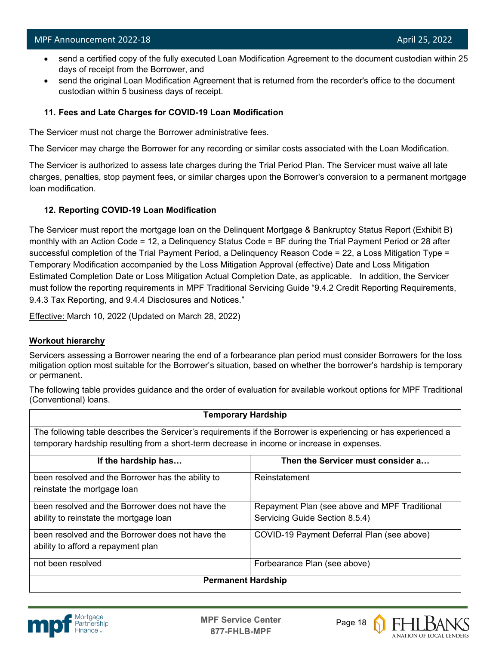- send a certified copy of the fully executed Loan Modification Agreement to the document custodian within 25 days of receipt from the Borrower, and
- send the original Loan Modification Agreement that is returned from the recorder's office to the document custodian within 5 business days of receipt.

# **11. Fees and Late Charges for COVID-19 Loan Modification**

The Servicer must not charge the Borrower administrative fees.

The Servicer may charge the Borrower for any recording or similar costs associated with the Loan Modification.

The Servicer is authorized to assess late charges during the Trial Period Plan. The Servicer must waive all late charges, penalties, stop payment fees, or similar charges upon the Borrower's conversion to a permanent mortgage loan modification.

# **12. Reporting COVID-19 Loan Modification**

The Servicer must report the mortgage loan on the Delinquent Mortgage & Bankruptcy Status Report (Exhibit B) monthly with an Action Code = 12, a Delinquency Status Code = BF during the Trial Payment Period or 28 after successful completion of the Trial Payment Period, a Delinquency Reason Code = 22, a Loss Mitigation Type = Temporary Modification accompanied by the Loss Mitigation Approval (effective) Date and Loss Mitigation Estimated Completion Date or Loss Mitigation Actual Completion Date, as applicable. In addition, the Servicer must follow the reporting requirements in MPF Traditional Servicing Guide "9.4.2 Credit Reporting Requirements, 9.4.3 Tax Reporting, and 9.4.4 Disclosures and Notices."

Effective: March 10, 2022 (Updated on March 28, 2022)

# **Workout hierarchy**

Servicers assessing a Borrower nearing the end of a forbearance plan period must consider Borrowers for the loss mitigation option most suitable for the Borrower's situation, based on whether the borrower's hardship is temporary or permanent.

The following table provides guidance and the order of evaluation for available workout options for MPF Traditional (Conventional) loans.

| <b>Temporary Hardship</b>                                                                                      |                                               |  |
|----------------------------------------------------------------------------------------------------------------|-----------------------------------------------|--|
| The following table describes the Servicer's requirements if the Borrower is experiencing or has experienced a |                                               |  |
| temporary hardship resulting from a short-term decrease in income or increase in expenses.                     |                                               |  |
| If the hardship has                                                                                            | Then the Servicer must consider a             |  |
| been resolved and the Borrower has the ability to                                                              | Reinstatement                                 |  |
| reinstate the mortgage loan                                                                                    |                                               |  |
| been resolved and the Borrower does not have the                                                               | Repayment Plan (see above and MPF Traditional |  |
| ability to reinstate the mortgage loan                                                                         | Servicing Guide Section 8.5.4)                |  |
| been resolved and the Borrower does not have the                                                               | COVID-19 Payment Deferral Plan (see above)    |  |
| ability to afford a repayment plan                                                                             |                                               |  |
| not been resolved                                                                                              | Forbearance Plan (see above)                  |  |
| <b>Permanent Hardship</b>                                                                                      |                                               |  |



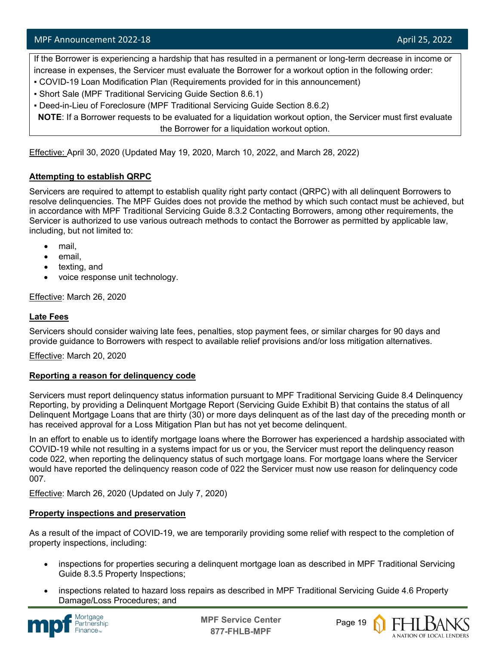If the Borrower is experiencing a hardship that has resulted in a permanent or long-term decrease in income or increase in expenses, the Servicer must evaluate the Borrower for a workout option in the following order:

- COVID-19 Loan Modification Plan (Requirements provided for in this announcement)
- Short Sale (MPF Traditional Servicing Guide Section 8.6.1)
- Deed-in-Lieu of Foreclosure (MPF Traditional Servicing Guide Section 8.6.2)

**NOTE**: If a Borrower requests to be evaluated for a liquidation workout option, the Servicer must first evaluate the Borrower for a liquidation workout option.

Effective: April 30, 2020 (Updated May 19, 2020, March 10, 2022, and March 28, 2022)

# **Attempting to establish QRPC**

Servicers are required to attempt to establish quality right party contact (QRPC) with all delinquent Borrowers to resolve delinquencies. The MPF Guides does not provide the method by which such contact must be achieved, but in accordance with MPF Traditional Servicing Guide 8.3.2 Contacting Borrowers, among other requirements, the Servicer is authorized to use various outreach methods to contact the Borrower as permitted by applicable law, including, but not limited to:

- mail,
- email,
- texting, and
- voice response unit technology.

Effective: March 26, 2020

# **Late Fees**

Servicers should consider waiving late fees, penalties, stop payment fees, or similar charges for 90 days and provide guidance to Borrowers with respect to available relief provisions and/or loss mitigation alternatives.

Effective: March 20, 2020

# **Reporting a reason for delinquency code**

Servicers must report delinquency status information pursuant to MPF Traditional Servicing Guide 8.4 Delinquency Reporting, by providing a Delinquent Mortgage Report (Servicing Guide Exhibit B) that contains the status of all Delinquent Mortgage Loans that are thirty (30) or more days delinquent as of the last day of the preceding month or has received approval for a Loss Mitigation Plan but has not yet become delinquent.

In an effort to enable us to identify mortgage loans where the Borrower has experienced a hardship associated with COVID-19 while not resulting in a systems impact for us or you, the Servicer must report the delinquency reason code 022, when reporting the delinquency status of such mortgage loans. For mortgage loans where the Servicer would have reported the delinquency reason code of 022 the Servicer must now use reason for delinquency code 007.

Effective: March 26, 2020 (Updated on July 7, 2020)

# **Property inspections and preservation**

As a result of the impact of COVID-19, we are temporarily providing some relief with respect to the completion of property inspections, including:

- inspections for properties securing a delinquent mortgage loan as described in MPF Traditional Servicing Guide 8.3.5 Property Inspections;
- inspections related to hazard loss repairs as described in MPF Traditional Servicing Guide 4.6 Property Damage/Loss Procedures; and



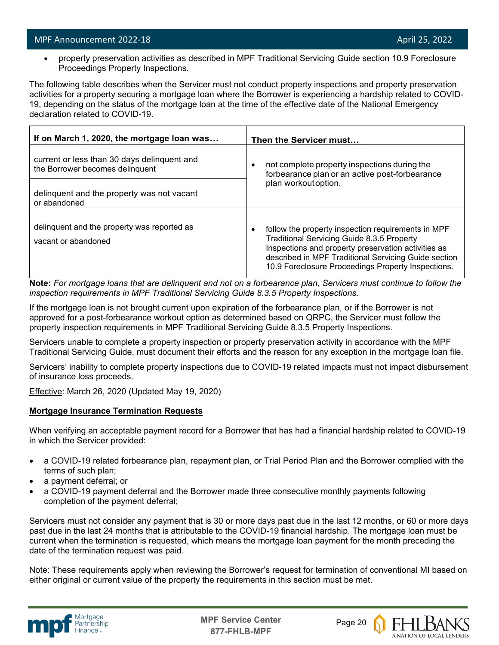• property preservation activities as described in MPF Traditional Servicing Guide section 10.9 Foreclosure Proceedings Property Inspections.

The following table describes when the Servicer must not conduct property inspections and property preservation activities for a property securing a mortgage loan where the Borrower is experiencing a hardship related to COVID-19, depending on the status of the mortgage loan at the time of the effective date of the National Emergency declaration related to COVID-19.

| If on March 1, 2020, the mortgage loan was                                     | Then the Servicer must                                                                                                                                                                                                                                                       |  |
|--------------------------------------------------------------------------------|------------------------------------------------------------------------------------------------------------------------------------------------------------------------------------------------------------------------------------------------------------------------------|--|
| current or less than 30 days delinguent and<br>the Borrower becomes delinquent | not complete property inspections during the<br>٠<br>forbearance plan or an active post-forbearance                                                                                                                                                                          |  |
| delinquent and the property was not vacant<br>or abandoned                     | plan workout option.                                                                                                                                                                                                                                                         |  |
| delinquent and the property was reported as<br>vacant or abandoned             | follow the property inspection requirements in MPF<br><b>Traditional Servicing Guide 8.3.5 Property</b><br>Inspections and property preservation activities as<br>described in MPF Traditional Servicing Guide section<br>10.9 Foreclosure Proceedings Property Inspections. |  |

**Note:** *For mortgage loans that are delinquent and not on a forbearance plan, Servicers must continue to follow the inspection requirements in MPF Traditional Servicing Guide 8.3.5 Property Inspections.*

If the mortgage loan is not brought current upon expiration of the forbearance plan, or if the Borrower is not approved for a post-forbearance workout option as determined based on QRPC, the Servicer must follow the property inspection requirements in MPF Traditional Servicing Guide 8.3.5 Property Inspections.

Servicers unable to complete a property inspection or property preservation activity in accordance with the MPF Traditional Servicing Guide, must document their efforts and the reason for any exception in the mortgage loan file.

Servicers' inability to complete property inspections due to COVID-19 related impacts must not impact disbursement of insurance loss proceeds.

Effective: March 26, 2020 (Updated May 19, 2020)

# **Mortgage Insurance Termination Requests**

When verifying an acceptable payment record for a Borrower that has had a financial hardship related to COVID-19 in which the Servicer provided:

- a COVID-19 related forbearance plan, repayment plan, or Trial Period Plan and the Borrower complied with the terms of such plan;
- a payment deferral; or
- a COVID-19 payment deferral and the Borrower made three consecutive monthly payments following completion of the payment deferral;

Servicers must not consider any payment that is 30 or more days past due in the last 12 months, or 60 or more days past due in the last 24 months that is attributable to the COVID-19 financial hardship. The mortgage loan must be current when the termination is requested, which means the mortgage loan payment for the month preceding the date of the termination request was paid.

Note: These requirements apply when reviewing the Borrower's request for termination of conventional MI based on either original or current value of the property the requirements in this section must be met.





A NATION OF LOCAL LENDERS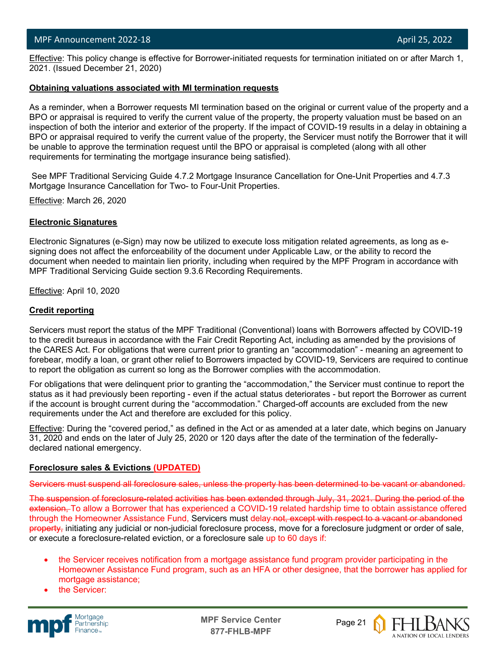l Effective: This policy change is effective for Borrower-initiated requests for termination initiated on or after March 1, 2021. (Issued December 21, 2020)

#### **Obtaining valuations associated with MI termination requests**

As a reminder, when a Borrower requests MI termination based on the original or current value of the property and a BPO or appraisal is required to verify the current value of the property, the property valuation must be based on an inspection of both the interior and exterior of the property. If the impact of COVID-19 results in a delay in obtaining a BPO or appraisal required to verify the current value of the property, the Servicer must notify the Borrower that it will be unable to approve the termination request until the BPO or appraisal is completed (along with all other requirements for terminating the mortgage insurance being satisfied).

See MPF Traditional Servicing Guide 4.7.2 Mortgage Insurance Cancellation for One-Unit Properties and 4.7.3 Mortgage Insurance Cancellation for Two- to Four-Unit Properties.

Effective: March 26, 2020

#### **Electronic Signatures**

Electronic Signatures (e-Sign) may now be utilized to execute loss mitigation related agreements, as long as esigning does not affect the enforceability of the document under Applicable Law, or the ability to record the document when needed to maintain lien priority, including when required by the MPF Program in accordance with MPF Traditional Servicing Guide section 9.3.6 Recording Requirements.

Effective: April 10, 2020

#### **Credit reporting**

Servicers must report the status of the MPF Traditional (Conventional) loans with Borrowers affected by COVID-19 to the credit bureaus in accordance with the Fair Credit Reporting Act, including as amended by the provisions of the CARES Act. For obligations that were current prior to granting an "accommodation" - meaning an agreement to forebear, modify a loan, or grant other relief to Borrowers impacted by COVID-19, Servicers are required to continue to report the obligation as current so long as the Borrower complies with the accommodation.

For obligations that were delinquent prior to granting the "accommodation," the Servicer must continue to report the status as it had previously been reporting - even if the actual status deteriorates - but report the Borrower as current if the account is brought current during the "accommodation." Charged-off accounts are excluded from the new requirements under the Act and therefore are excluded for this policy.

Effective: During the "covered period," as defined in the Act or as amended at a later date, which begins on January 31, 2020 and ends on the later of July 25, 2020 or 120 days after the date of the termination of the federallydeclared national emergency.

#### **Foreclosure sales & Evictions (UPDATED)**

Servicers must suspend all foreclosure sales, unless the property has been determined to be vacant or abandoned.

The suspension of foreclosure-related activities has been extended through July, 31, 2021. During the period of the extension. To allow a Borrower that has experienced a COVID-19 related hardship time to obtain assistance offered through the Homeowner Assistance Fund, Servicers must delay not, except with respect to a vacant or abandoned property, initiating any judicial or non-judicial foreclosure process, move for a foreclosure judgment or order of sale, or execute a foreclosure-related eviction, or a foreclosure sale up to 60 days if:

- the Servicer receives notification from a mortgage assistance fund program provider participating in the Homeowner Assistance Fund program, such as an HFA or other designee, that the borrower has applied for mortgage assistance;
- the Servicer:



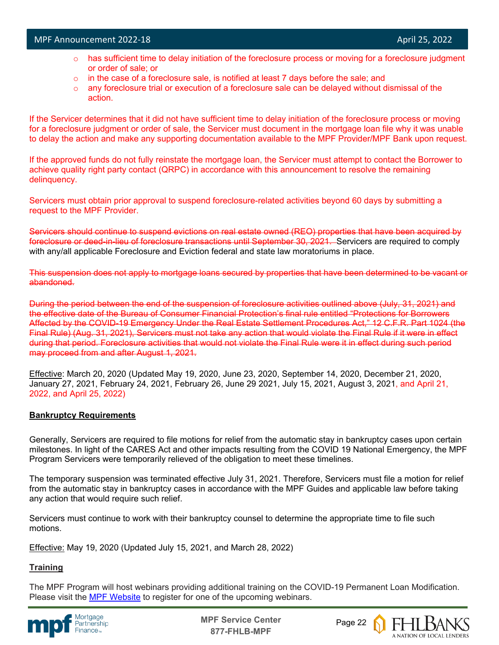- $\circ$  has sufficient time to delay initiation of the foreclosure process or moving for a foreclosure judgment or order of sale; or
- $\circ$  in the case of a foreclosure sale, is notified at least 7 days before the sale; and
- $\circ$  any foreclosure trial or execution of a foreclosure sale can be delayed without dismissal of the action.

If the Servicer determines that it did not have sufficient time to delay initiation of the foreclosure process or moving for a foreclosure judgment or order of sale, the Servicer must document in the mortgage loan file why it was unable to delay the action and make any supporting documentation available to the MPF Provider/MPF Bank upon request.

If the approved funds do not fully reinstate the mortgage loan, the Servicer must attempt to contact the Borrower to achieve quality right party contact (QRPC) in accordance with this announcement to resolve the remaining delinquency.

Servicers must obtain prior approval to suspend foreclosure-related activities beyond 60 days by submitting a request to the MPF Provider.

Servicers should continue to suspend evictions on real estate owned (REO) properties that have been acquired by foreclosure or deed-in-lieu of foreclosure transactions until September 30, 2021. Servicers are required to comply with any/all applicable Foreclosure and Eviction federal and state law moratoriums in place.

This suspension does not apply to mortgage loans secured by properties that have been determined to be vacant or abandoned.

During the period between the end of the suspension of foreclosure activities outlined above (July, 31, 2021) and the effective date of the Bureau of Consumer Financial Protection's final rule entitled "Protections for Borrowers Affected by the COVID-19 Emergency Under the Real Estate Settlement Procedures Act," 12 C.F.R. Part 1024 (the Final Rule) (Aug. 31, 2021), Servicers must not take any action that would violate the Final Rule if it were in effect during that period. Foreclosure activities that would not violate the Final Rule were it in effect during such period may proceed from and after August 1, 2021.

Effective: March 20, 2020 (Updated May 19, 2020, June 23, 2020, September 14, 2020, December 21, 2020, January 27, 2021, February 24, 2021, February 26, June 29 2021, July 15, 2021, August 3, 2021, and April 21, 2022, and April 25, 2022)

# **Bankruptcy Requirements**

Generally, Servicers are required to file motions for relief from the automatic stay in bankruptcy cases upon certain milestones. In light of the CARES Act and other impacts resulting from the COVID 19 National Emergency, the MPF Program Servicers were temporarily relieved of the obligation to meet these timelines.

The temporary suspension was terminated effective July 31, 2021. Therefore, Servicers must file a motion for relief from the automatic stay in bankruptcy cases in accordance with the MPF Guides and applicable law before taking any action that would require such relief.

Servicers must continue to work with their bankruptcy counsel to determine the appropriate time to file such motions.

Effective: May 19, 2020 (Updated July 15, 2021, and March 28, 2022)

# **Training**

The MPF Program will host webinars providing additional training on the COVID-19 Permanent Loan Modification. Please visit the [MPF Website](https://www.fhlbmpf.com/education/upcoming-webinars) to register for one of the upcoming webinars.



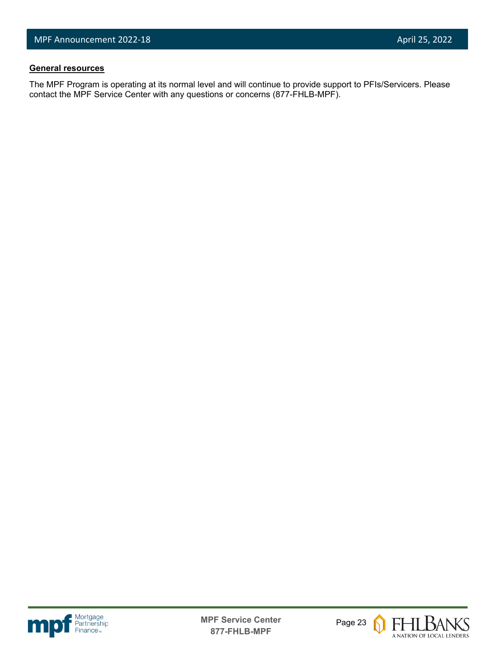# **General resources**

l

The MPF Program is operating at its normal level and will continue to provide support to PFIs/Servicers. Please contact the MPF Service Center with any questions or concerns (877-FHLB-MPF).





FHLBANKS A NATION OF LOCAL LENDERS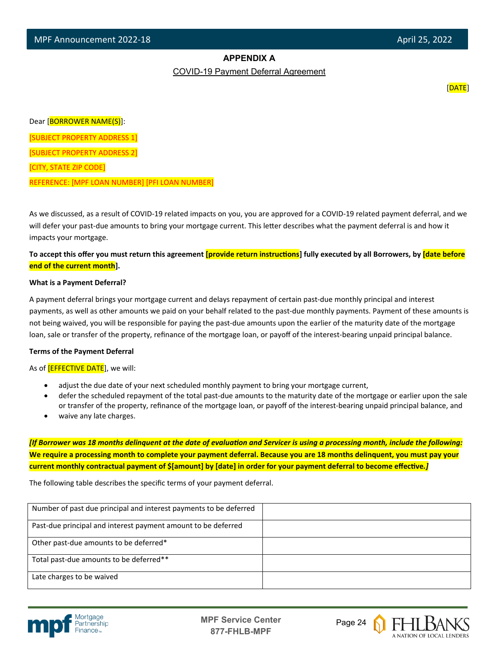# **APPENDIX A**

COVID-19 Payment Deferral Agreement

[DATE]

Dear [BORROWER NAME(S)]:

[SUBJECT PROPERTY ADDRESS 1]

[SUBJECT PROPERTY ADDRESS 2]

[CITY, STATE ZIP CODE]

l

REFERENCE: [MPF LOAN NUMBER] [PFI LOAN NUMBER]

As we discussed, as a result of COVID-19 related impacts on you, you are approved for a COVID-19 related payment deferral, and we will defer your past-due amounts to bring your mortgage current. This letter describes what the payment deferral is and how it impacts your mortgage.

**To accept this offer you must return this agreement [provide return instruc�ons] fully executed by all Borrowers, by [date before end of the current month].**

#### **What is a Payment Deferral?**

A payment deferral brings your mortgage current and delays repayment of certain past-due monthly principal and interest payments, as well as other amounts we paid on your behalf related to the past-due monthly payments. Payment of these amounts is not being waived, you will be responsible for paying the past-due amounts upon the earlier of the maturity date of the mortgage loan, sale or transfer of the property, refinance of the mortgage loan, or payoff of the interest-bearing unpaid principal balance.

#### **Terms of the Payment Deferral**

As of **[EFFECTIVE DATE**], we will:

- adjust the due date of your next scheduled monthly payment to bring your mortgage current,
- defer the scheduled repayment of the total past-due amounts to the maturity date of the mortgage or earlier upon the sale or transfer of the property, refinance of the mortgage loan, or payoff of the interest-bearing unpaid principal balance, and
- waive any late charges.

*[If Borrower was 18 months delinquent at the date of evaluation and Servicer is using a processing month, include the following:* **We require a processing month to complete your payment deferral. Because you are 18 months delinquent, you must pay your**  current monthly contractual payment of \$[amount] by [date] in order for your payment deferral to become effective.*]* 

The following table describes the specific terms of your payment deferral.

| Number of past due principal and interest payments to be deferred |  |
|-------------------------------------------------------------------|--|
| Past-due principal and interest payment amount to be deferred     |  |
| Other past-due amounts to be deferred*                            |  |
| Total past-due amounts to be deferred**                           |  |
| Late charges to be waived                                         |  |



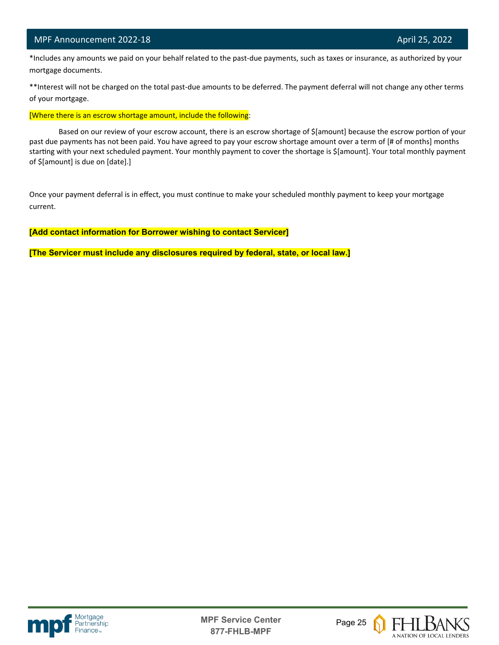l

 \*Includes any amounts we paid on your behalf related to the past-due payments, such as taxes or insurance, as authorized by your mortgage documents.

\*\*Interest will not be charged on the total past-due amounts to be deferred. The payment deferral will not change any other terms of your mortgage.

[Where there is an escrow shortage amount, include the following:

Based on our review of your escrow account, there is an escrow shortage of \$[amount] because the escrow portion of your past due payments has not been paid. You have agreed to pay your escrow shortage amount over a term of [# of months] months starting with your next scheduled payment. Your monthly payment to cover the shortage is \$[amount]. Your total monthly payment of \$[amount] is due on [date].]

Once your payment deferral is in effect, you must continue to make your scheduled monthly payment to keep your mortgage current.

**[Add contact information for Borrower wishing to contact Servicer]**

**[The Servicer must include any disclosures required by federal, state, or local law.]**





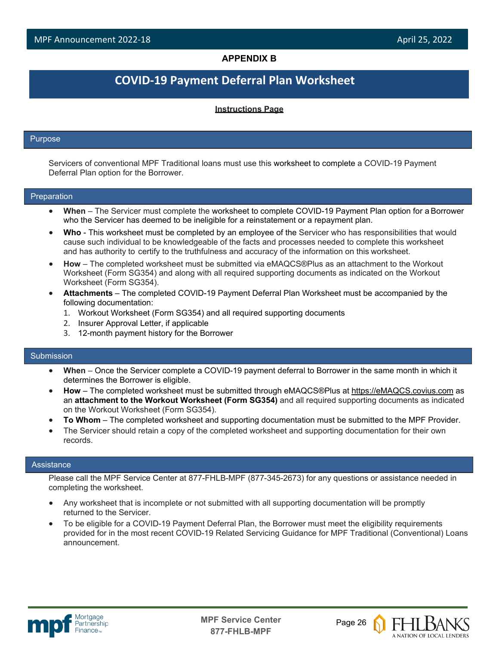# **APPENDIX B**

# **COVID-19 Payment Deferral Plan Worksheet**

#### **Instructions Page**

#### Purpose

l

Servicers of conventional MPF Traditional loans must use this worksheet to complete a COVID-19 Payment Deferral Plan option for the Borrower.

#### Preparation

- **When**  The Servicer must complete the worksheet to complete COVID-19 Payment Plan option for a Borrower who the Servicer has deemed to be ineligible for a reinstatement or a repayment plan.
- **Who**  This worksheet must be completed by an employee of the Servicer who has responsibilities that would cause such individual to be knowledgeable of the facts and processes needed to complete this worksheet and has authority to certify to the truthfulness and accuracy of the information on this worksheet.
- **How**  The completed worksheet must be submitted via eMAQCS®Plus as an attachment to the Workout Worksheet (Form SG354) and along with all required supporting documents as indicated on the Workout Worksheet (Form SG354).
- **Attachments**  The completed COVID-19 Payment Deferral Plan Worksheet must be accompanied by the following documentation:
	- 1. Workout Worksheet (Form SG354) and all required supporting documents
	- 2. Insurer Approval Letter, if applicable
	- 3. 12-month payment history for the Borrower

#### Submission

- **When**  Once the Servicer complete a COVID-19 payment deferral to Borrower in the same month in which it determines the Borrower is eligible.
- **How**  The completed worksheet must be submitted through eMAQCS®Plus at [https://eMAQCS.covius.com](https://emaqcs.covius.com/) as an **attachment to the Workout Worksheet (Form SG354)** and all required supporting documents as indicated on the Workout Worksheet (Form SG354).
- **To Whom**  The completed worksheet and supporting documentation must be submitted to the MPF Provider.
- The Servicer should retain a copy of the completed worksheet and supporting documentation for their own records.

#### **Assistance**

Please call the MPF Service Center at 877-FHLB-MPF (877-345-2673) for any questions or assistance needed in completing the worksheet.

- Any worksheet that is incomplete or not submitted with all supporting documentation will be promptly returned to the Servicer.
- To be eligible for a COVID-19 Payment Deferral Plan, the Borrower must meet the eligibility requirements provided for in the most recent COVID-19 Related Servicing Guidance for MPF Traditional (Conventional) Loans announcement.



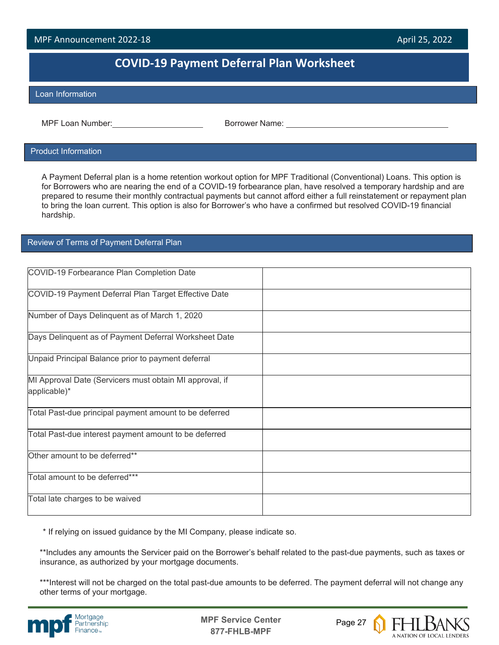# **COVID-19 Payment Deferral Plan Worksheet**

#### Loan Information

l

MPF Loan Number: Borrower Name:

#### Product Information

A Payment Deferral plan is a home retention workout option for MPF Traditional (Conventional) Loans. This option is for Borrowers who are nearing the end of a COVID-19 forbearance plan, have resolved a temporary hardship and are prepared to resume their monthly contractual payments but cannot afford either a full reinstatement or repayment plan to bring the loan current. This option is also for Borrower's who have a confirmed but resolved COVID-19 financial hardship.

# Review of Terms of Payment Deferral Plan

| COVID-19 Forbearance Plan Completion Date               |  |
|---------------------------------------------------------|--|
| COVID-19 Payment Deferral Plan Target Effective Date    |  |
| Number of Days Delinquent as of March 1, 2020           |  |
| Days Delinquent as of Payment Deferral Worksheet Date   |  |
| Unpaid Principal Balance prior to payment deferral      |  |
| MI Approval Date (Servicers must obtain MI approval, if |  |
| applicable)*                                            |  |
| Total Past-due principal payment amount to be deferred  |  |
| Total Past-due interest payment amount to be deferred   |  |
| Other amount to be deferred**                           |  |
| Total amount to be deferred***                          |  |
| Total late charges to be waived                         |  |

\* If relying on issued guidance by the MI Company, please indicate so.

\*\*Includes any amounts the Servicer paid on the Borrower's behalf related to the past-due payments, such as taxes or insurance, as authorized by your mortgage documents.

\*\*\*Interest will not be charged on the total past-due amounts to be deferred. The payment deferral will not change any other terms of your mortgage.



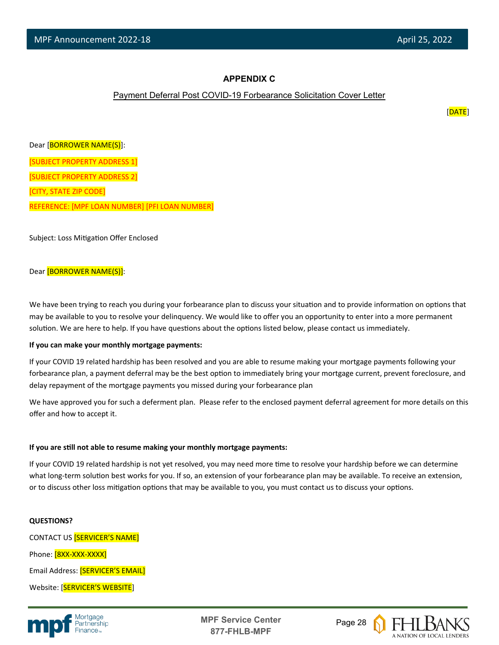# **APPENDIX C**

#### Payment Deferral Post COVID-19 Forbearance Solicitation Cover Letter

[DATE]

Dear [BORROWER NAME(S)]: [SUBJECT PROPERTY ADDRESS 1] [SUBJECT PROPERTY ADDRESS 2] [CITY, STATE ZIP CODE] REFERENCE: [MPF LOAN NUMBER] [PFI LOAN NUMBER]

Subject: Loss Mitigation Offer Enclosed

#### Dear [BORROWER NAME(S)]:

We have been trying to reach you during your forbearance plan to discuss your situation and to provide information on options that may be available to you to resolve your delinquency. We would like to offer you an opportunity to enter into a more permanent solution. We are here to help. If you have questions about the options listed below, please contact us immediately.

#### **If you can make your monthly mortgage payments:**

If your COVID 19 related hardship has been resolved and you are able to resume making your mortgage payments following your forbearance plan, a payment deferral may be the best option to immediately bring your mortgage current, prevent foreclosure, and delay repayment of the mortgage payments you missed during your forbearance plan

We have approved you for such a deferment plan. Please refer to the enclosed payment deferral agreement for more details on this offer and how to accept it.

#### **If you are s�ll not able to resume making your monthly mortgage payments:**

If your COVID 19 related hardship is not yet resolved, you may need more time to resolve your hardship before we can determine what long-term solution best works for you. If so, an extension of your forbearance plan may be available. To receive an extension, or to discuss other loss mitigation options that may be available to you, you must contact us to discuss your options.

#### **QUESTIONS?**

CONTACT US [SERVICER'S NAME] Phone: [8XX-XXX-XXXX] Email Address: [SERVICER'S EMAIL] Website: [SERVICER'S WEBSITE]



**MPF Service Center** Page 28 **877-FHLB-MPF**

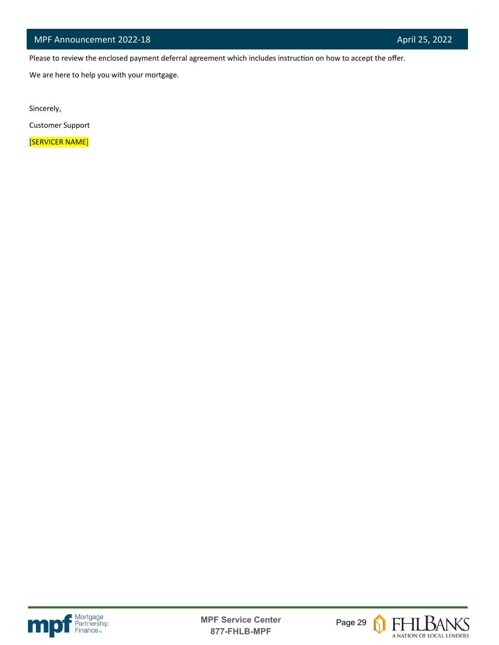Please to review the enclosed payment deferral agreement which includes instruction on how to accept the offer.

We are here to help you with your mortgage.

Sincerely,

l

Customer Support

[SERVICER NAME]





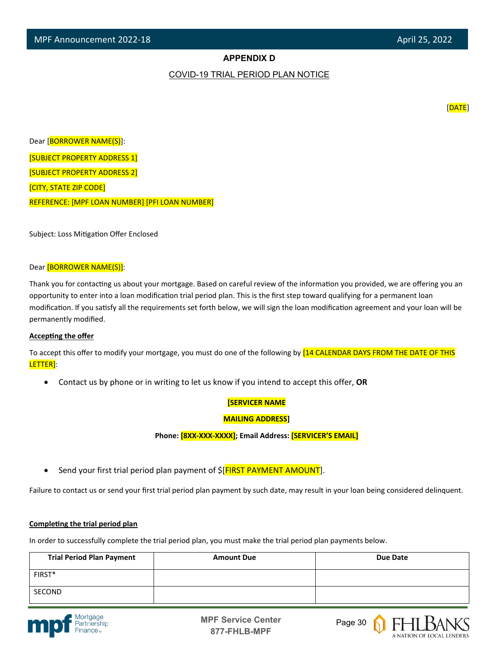# **APPENDIX D**

#### COVID-19 TRIAL PERIOD PLAN NOTICE

[DATE]

Dear [BORROWER NAME(S)]: [SUBJECT PROPERTY ADDRESS 1] [SUBJECT PROPERTY ADDRESS 2] [CITY, STATE ZIP CODE] REFERENCE: [MPF LOAN NUMBER] [PFI LOAN NUMBER]

Subject: Loss Mitigation Offer Enclosed

#### Dear [BORROWER NAME(S)]:

Thank you for contacting us about your mortgage. Based on careful review of the information you provided, we are offering you an opportunity to enter into a loan modification trial period plan. This is the first step toward qualifying for a permanent loan modification. If you satisfy all the requirements set forth below, we will sign the loan modification agreement and your loan will be permanently modified.

#### **Accepting the offer**

To accept this offer to modify your mortgage, you must do one of the following by [14 CALENDAR DAYS FROM THE DATE OF THIS LETTER]:

• Contact us by phone or in writing to let us know if you intend to accept this offer, **OR**

#### **[SERVICER NAME**

#### **MAILING ADDRESS]**

**Phone: [8XX-XXX-XXXX]; Email Address: [SERVICER'S EMAIL]**

Send your first trial period plan payment of  $\frac{1}{2}$  FIRST PAYMENT AMOUNT].

Failure to contact us or send your first trial period plan payment by such date, may result in your loan being considered delinquent.

#### **Completing the trial period plan**

In order to successfully complete the trial period plan, you must make the trial period plan payments below.

| <b>Trial Period Plan Payment</b> | <b>Amount Due</b> | Due Date |
|----------------------------------|-------------------|----------|
| FIRST*                           |                   |          |
| SECOND                           |                   |          |



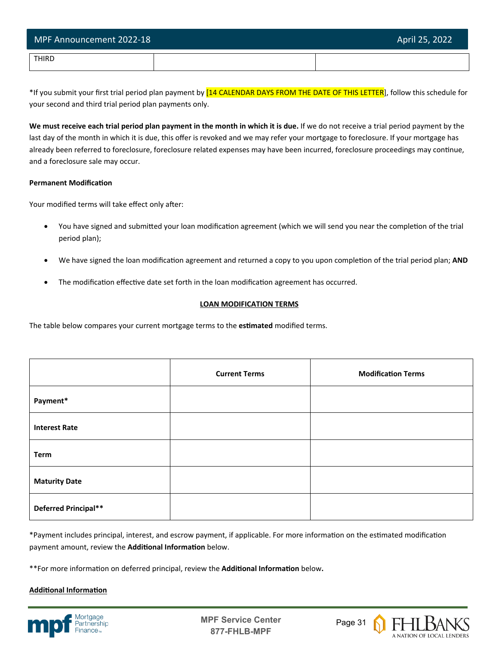| MPF Announcement 2022-18 | April 25, 2022 |
|--------------------------|----------------|
| THIRD                    |                |

\*If you submit your first trial period plan payment by [14 CALENDAR DAYS FROM THE DATE OF THIS LETTER], follow this schedule for your second and third trial period plan payments only.

**We must receive each trial period plan payment in the month in which it is due.** If we do not receive a trial period payment by the last day of the month in which it is due, this offer is revoked and we may refer your mortgage to foreclosure. If your mortgage has already been referred to foreclosure, foreclosure related expenses may have been incurred, foreclosure proceedings may continue, and a foreclosure sale may occur.

#### **Permanent Modification**

Your modified terms will take effect only after:

- You have signed and submitted your loan modification agreement (which we will send you near the completion of the trial period plan);
- We have signed the loan modification agreement and returned a copy to you upon completion of the trial period plan; AND
- The modification effective date set forth in the loan modification agreement has occurred.

# **LOAN MODIFICATION TERMS**

The table below compares your current mortgage terms to the **es�mated** modified terms.

|                      | <b>Current Terms</b> | <b>Modification Terms</b> |
|----------------------|----------------------|---------------------------|
| Payment*             |                      |                           |
| <b>Interest Rate</b> |                      |                           |
| <b>Term</b>          |                      |                           |
| <b>Maturity Date</b> |                      |                           |
| Deferred Principal** |                      |                           |

\*Payment includes principal, interest, and escrow payment, if applicable. For more information on the estimated modification payment amount, review the **Additional Information** below.

\*\*For more information on deferred principal, review the **Additional Information** below.

# **Additional Information**



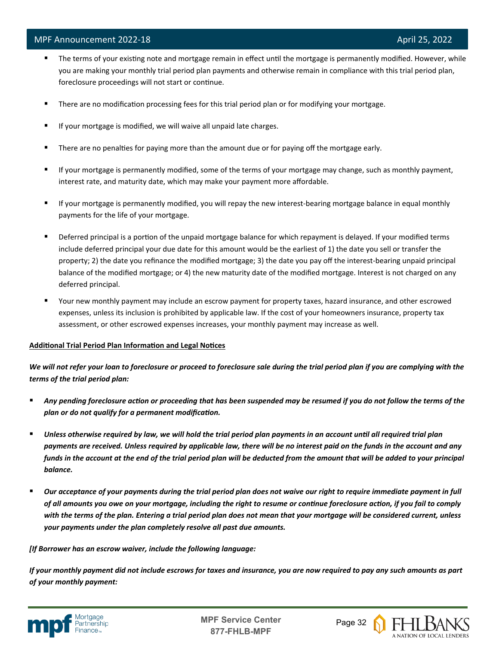- The terms of your existing note and mortgage remain in effect until the mortgage is permanently modified. However, while you are making your monthly trial period plan payments and otherwise remain in compliance with this trial period plan, foreclosure proceedings will not start or continue.
- **There are no modification processing fees for this trial period plan or for modifying your mortgage.**
- If your mortgage is modified, we will waive all unpaid late charges.
- **There are no penalties for paying more than the amount due or for paying off the mortgage early.**
- If your mortgage is permanently modified, some of the terms of your mortgage may change, such as monthly payment, interest rate, and maturity date, which may make your payment more affordable.
- If your mortgage is permanently modified, you will repay the new interest-bearing mortgage balance in equal monthly payments for the life of your mortgage.
- Deferred principal is a portion of the unpaid mortgage balance for which repayment is delayed. If your modified terms include deferred principal your due date for this amount would be the earliest of 1) the date you sell or transfer the property; 2) the date you refinance the modified mortgage; 3) the date you pay off the interest-bearing unpaid principal balance of the modified mortgage; or 4) the new maturity date of the modified mortgage. Interest is not charged on any deferred principal.
- Your new monthly payment may include an escrow payment for property taxes, hazard insurance, and other escrowed expenses, unless its inclusion is prohibited by applicable law. If the cost of your homeowners insurance, property tax assessment, or other escrowed expenses increases, your monthly payment may increase as well.

#### Additional Trial Period Plan Information and Legal Notices

*We will not refer your loan to foreclosure or proceed to foreclosure sale during the trial period plan if you are complying with the terms of the trial period plan:*

- *Any pending foreclosure action or proceeding that has been suspended may be resumed if you do not follow the terms of the plan or do not qualify for a permanent modification.*
- *Unless otherwise required by law, we will hold the trial period plan payments in an account until all required trial plan payments are received. Unless required by applicable law, there will be no interest paid on the funds in the account and any funds in the account at the end of the trial period plan will be deducted from the amount that will be added to your principal balance.*
- *Our acceptance of your payments during the trial period plan does not waive our right to require immediate payment in full of all amounts you owe on your mortgage, including the right to resume or continue foreclosure action, if you fail to comply with the terms of the plan. Entering a trial period plan does not mean that your mortgage will be considered current, unless your payments under the plan completely resolve all past due amounts.*

#### *[If Borrower has an escrow waiver, include the following language:*

*If your monthly payment did not include escrows for taxes and insurance, you are now required to pay any such amounts as part of your monthly payment:*



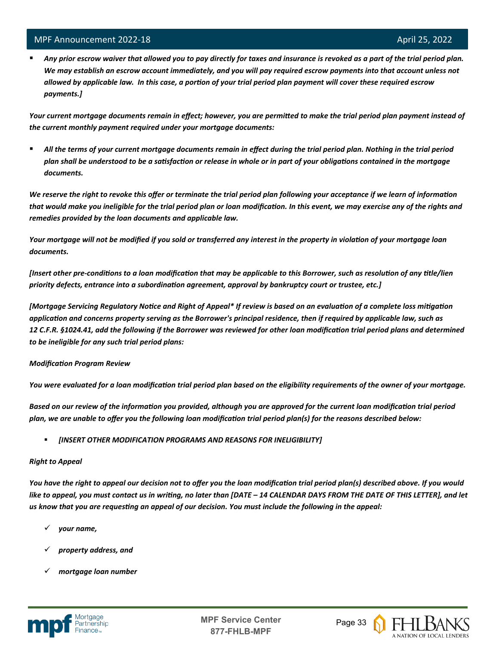l

 *Any prior escrow waiver that allowed you to pay directly for taxes and insurance is revoked as a part of the trial period plan. We may establish an escrow account immediately, and you will pay required escrow payments into that account unless not allowed by applicable law. In this case, a portion of your trial period plan payment will cover these required escrow payments.]*

*Your current mortgage documents remain in effect; however, you are permitted to make the trial period plan payment instead of the current monthly payment required under your mortgage documents:*

 *All the terms of your current mortgage documents remain in effect during the trial period plan. Nothing in the trial period plan shall be understood to be a satisfaction or release in whole or in part of your obligations contained in the mortgage documents.*

*We reserve the right to revoke this offer or terminate the trial period plan following your acceptance if we learn of information*  that would make you ineligible for the trial period plan or loan modification. In this event, we may exercise any of the rights and *remedies provided by the loan documents and applicable law.* 

*Your mortgage will not be modified if you sold or transferred any interest in the property in violation of your mortgage loan documents.* 

*[Insert other pre-conditions to a loan modification that may be applicable to this Borrower, such as resolution of any title/lien priority defects, entrance into a subordination agreement, approval by bankruptcy court or trustee, etc.]* 

*[Mortgage Servicing Regulatory Notice and Right of Appeal\* If review is based on an evaluation of a complete loss mitigation application and concerns property serving as the Borrower's principal residence, then if required by applicable law, such as 12 C.F.R. §1024.41, add the following if the Borrower was reviewed for other loan modification trial period plans and determined to be ineligible for any such trial period plans:*

#### *Modification Program Review*

*You were evaluated for a loan modification trial period plan based on the eligibility requirements of the owner of your mortgage.* 

*Based on our review of the information you provided, although you are approved for the current loan modification trial period plan, we are unable to offer you the following loan modification trial period plan(s) for the reasons described below:*

*[INSERT OTHER MODIFICATION PROGRAMS AND REASONS FOR INELIGIBILITY]*

#### *Right to Appeal*

*You have the right to appeal our decision not to offer you the loan modification trial period plan(s) described above. If you would like to appeal, you must contact us in writing, no later than [DATE – 14 CALENDAR DAYS FROM THE DATE OF THIS LETTER], and let us know that you are requesting an appeal of our decision. You must include the following in the appeal:* 

- *your name,*
- *property address, and*
- *mortgage loan number*



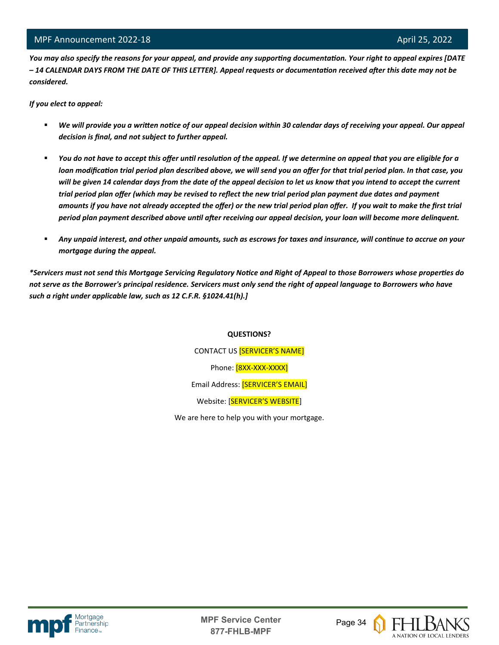*You may also specify the reasons for your appeal, and provide any supporting documentation. Your right to appeal expires [DATE – 14 CALENDAR DAYS FROM THE DATE OF THIS LETTER]. Appeal requests or documentation received after this date may not be considered.* 

*If you elect to appeal:*

l

- *We will provide you a written notice of our appeal decision within 30 calendar days of receiving your appeal. Our appeal decision is final, and not subject to further appeal.*
- *You do not have to accept this offer until resolution of the appeal. If we determine on appeal that you are eligible for a loan modification trial period plan described above, we will send you an offer for that trial period plan. In that case, you will be given 14 calendar days from the date of the appeal decision to let us know that you intend to accept the current trial period plan offer (which may be revised to reflect the new trial period plan payment due dates and payment amounts if you have not already accepted the offer) or the new trial period plan offer. If you wait to make the first trial period plan payment described above until after receiving our appeal decision, your loan will become more delinquent.*
- *Any unpaid interest, and other unpaid amounts, such as escrows for taxes and insurance, will continue to accrue on your mortgage during the appeal.*

*\*Servicers must not send this Mortgage Servicing Regulatory Notice and Right of Appeal to those Borrowers whose properties do not serve as the Borrower's principal residence. Servicers must only send the right of appeal language to Borrowers who have such a right under applicable law, such as 12 C.F.R. §1024.41(h).]*

#### **QUESTIONS?**

CONTACT US [SERVICER'S NAME] Phone: [8XX-XXX-XXXX] Email Address: [SERVICER'S EMAIL] Website: [SERVICER'S WEBSITE]

We are here to help you with your mortgage.





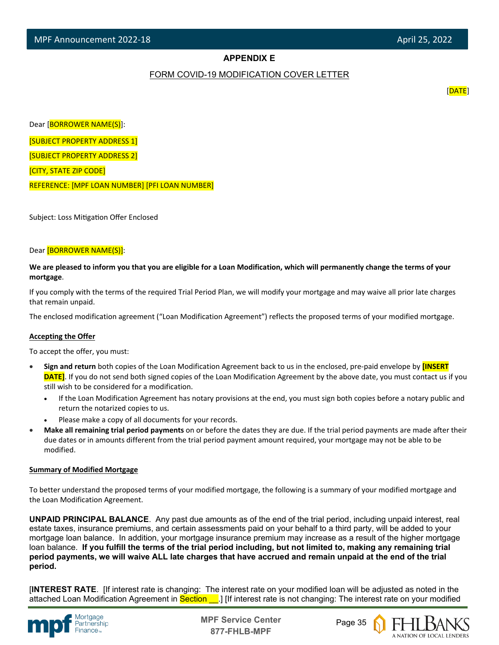# **APPENDIX E**

#### FORM COVID-19 MODIFICATION COVER LETTER

[DATE]

Dear [BORROWER NAME(S)]:

[SUBJECT PROPERTY ADDRESS 1]

[SUBJECT PROPERTY ADDRESS 2]

[CITY, STATE ZIP CODE]

l

REFERENCE: [MPF LOAN NUMBER] [PFI LOAN NUMBER]

Subject: Loss Mitigation Offer Enclosed

#### Dear [BORROWER NAME(S)]:

**We are pleased to inform you that you are eligible for a Loan Modification, which will permanently change the terms of your mortgage**.

If you comply with the terms of the required Trial Period Plan, we will modify your mortgage and may waive all prior late charges that remain unpaid.

The enclosed modification agreement ("Loan Modification Agreement") reflects the proposed terms of your modified mortgage.

#### **Accepting the Offer**

To accept the offer, you must:

- **Sign and return** both copies of the Loan Modification Agreement back to us in the enclosed, pre-paid envelope by **[INSERT DATE]**. If you do not send both signed copies of the Loan Modification Agreement by the above date, you must contact us if you still wish to be considered for a modification.
	- If the Loan Modification Agreement has notary provisions at the end, you must sign both copies before a notary public and return the notarized copies to us.
	- Please make a copy of all documents for your records.
- **Make all remaining trial period payments** on or before the dates they are due. If the trial period payments are made after their due dates or in amounts different from the trial period payment amount required, your mortgage may not be able to be modified.

#### **Summary of Modified Mortgage**

To better understand the proposed terms of your modified mortgage, the following is a summary of your modified mortgage and the Loan Modification Agreement.

**UNPAID PRINCIPAL BALANCE**. Any past due amounts as of the end of the trial period, including unpaid interest, real estate taxes, insurance premiums, and certain assessments paid on your behalf to a third party, will be added to your mortgage loan balance. In addition, your mortgage insurance premium may increase as a result of the higher mortgage loan balance. **If you fulfill the terms of the trial period including, but not limited to, making any remaining trial period payments, we will waive ALL late charges that have accrued and remain unpaid at the end of the trial period.**

[**INTEREST RATE**. [If interest rate is changing: The interest rate on your modified loan will be adjusted as noted in the attached Loan Modification Agreement in Section . If interest rate is not changing: The interest rate on your modified